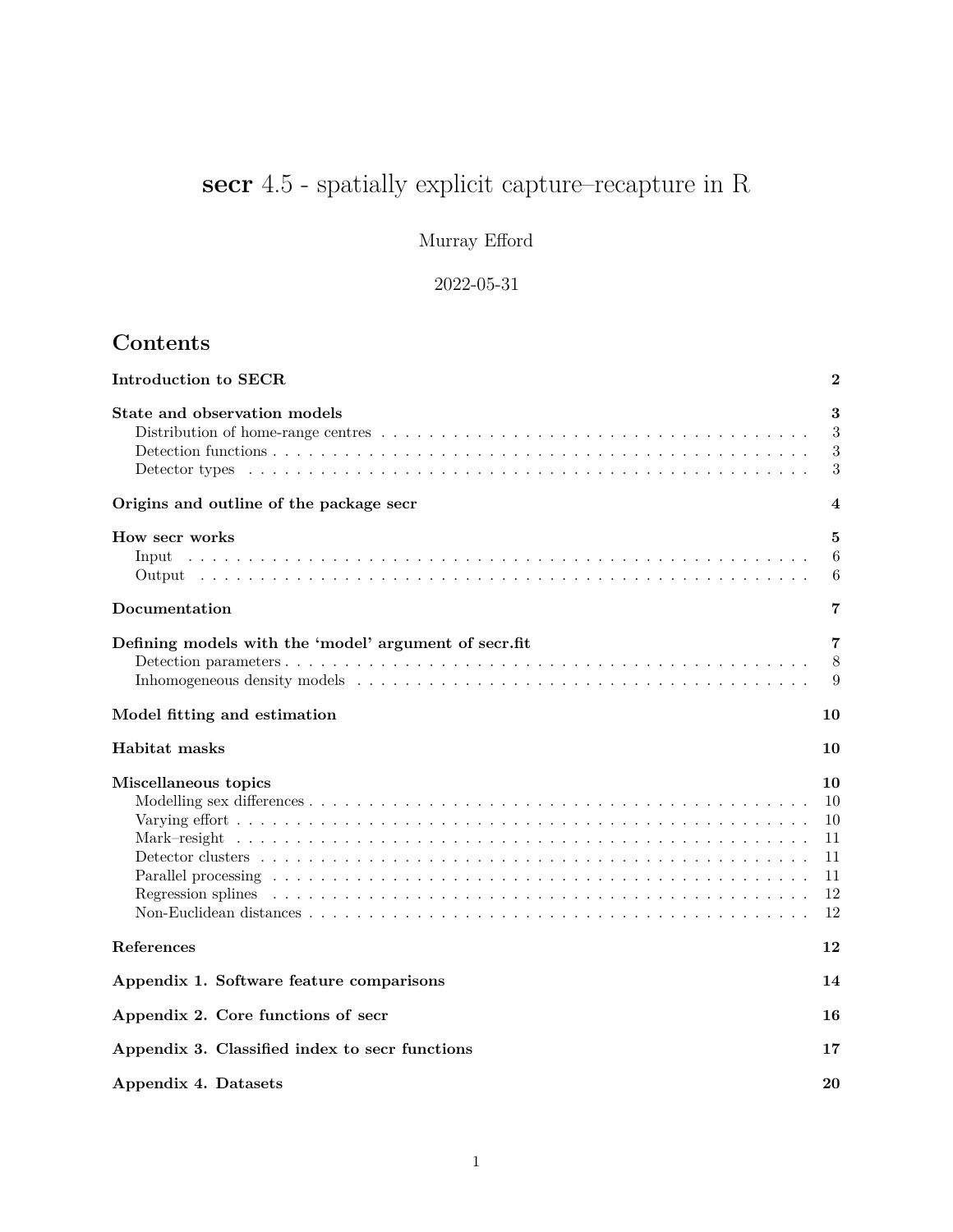# <span id="page-0-0"></span>**secr** 4.5 - spatially explicit capture–recapture in R

Murray Efford

2022-05-31

# **Contents**

| Introduction to SECR                                  | $\bf{2}$                                     |
|-------------------------------------------------------|----------------------------------------------|
| State and observation models                          | 3<br>3<br>3<br>3                             |
| Origins and outline of the package secr               | 4                                            |
| How secr works<br>Input                               | 5<br>6<br>6                                  |
| Documentation                                         | 7                                            |
| Defining models with the 'model' argument of secr.fit | 7<br>8<br>9                                  |
| Model fitting and estimation                          | 10                                           |
| Habitat masks                                         | 10                                           |
| Miscellaneous topics<br>Regression splines            | 10<br>10<br>10<br>11<br>11<br>11<br>12<br>12 |
| References                                            | 12                                           |
| Appendix 1. Software feature comparisons              | 14                                           |
| Appendix 2. Core functions of secr                    | 16                                           |
| Appendix 3. Classified index to secr functions        | 17                                           |
| Appendix 4. Datasets                                  | 20                                           |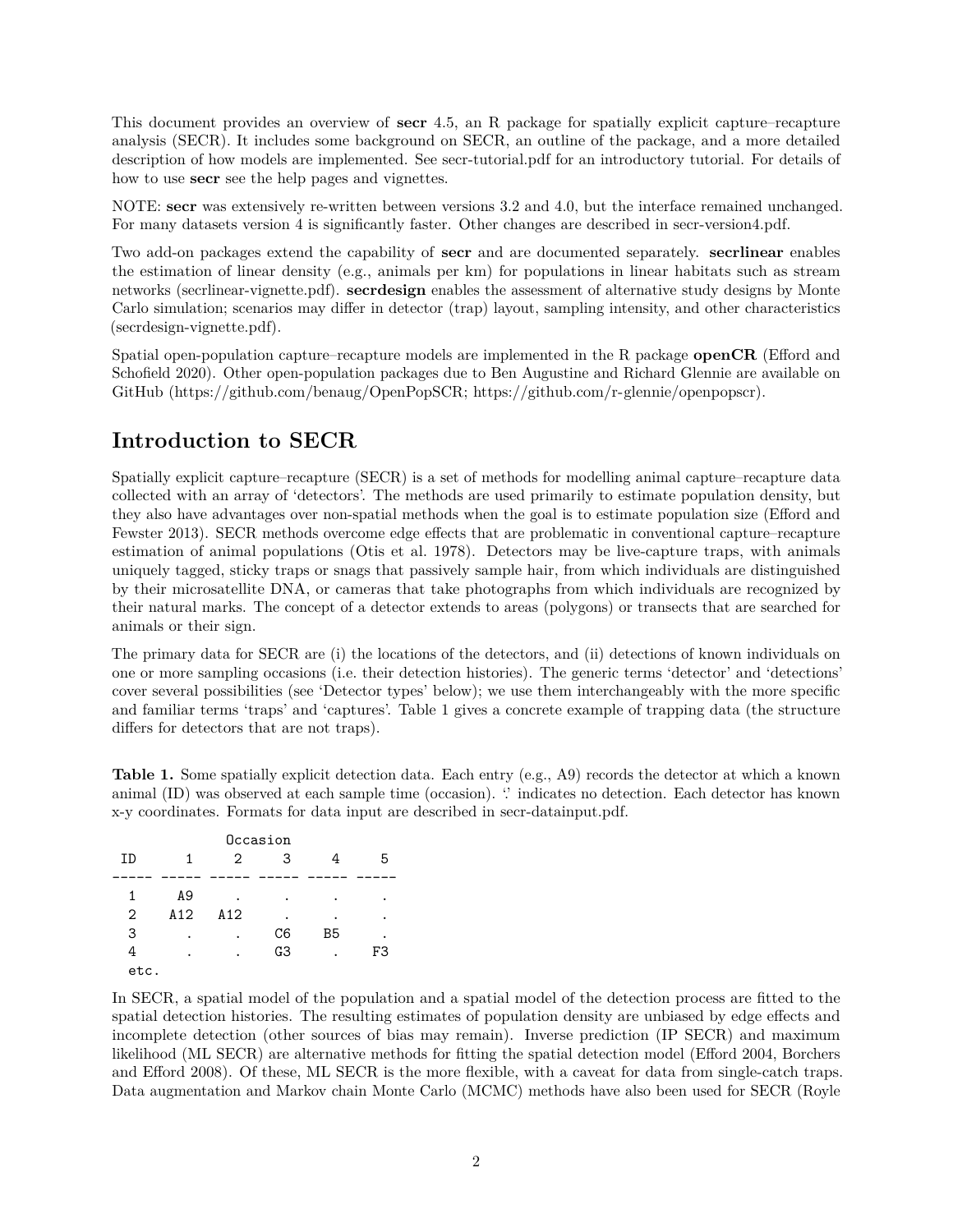This document provides an overview of **secr** 4.5, an R package for spatially explicit capture–recapture analysis (SECR). It includes some background on SECR, an outline of the package, and a more detailed description of how models are implemented. See [secr-tutorial.pdf](https://www.otago.ac.nz/density/pdfs/secr-tutorial.pdf) for an introductory tutorial. For details of how to use **secr** see the help pages and vignettes.

NOTE: **secr** was extensively re-written between versions 3.2 and 4.0, but the interface remained unchanged. For many datasets version 4 is significantly faster. Other changes are described in [secr-version4.pdf.](https://www.otago.ac.nz/density/pdfs/secr-version4.pdf)

Two add-on packages extend the capability of **secr** and are documented separately. **secrlinear** enables the estimation of linear density (e.g., animals per km) for populations in linear habitats such as stream networks [\(secrlinear-vignette.pdf\)](https://CRAN.R-project.org/package=secrlinear/vignettes/secrlinear-vignette.pdf). **secrdesign** enables the assessment of alternative study designs by Monte Carlo simulation; scenarios may differ in detector (trap) layout, sampling intensity, and other characteristics [\(secrdesign-vignette.pdf\)](https://www.otago.ac.nz/density/pdfs/secrdesign-vignette.pdf).

Spatial open-population capture–recapture models are implemented in the R package **openCR** (Efford and Schofield 2020). Other open-population packages due to Ben Augustine and Richard Glennie are available on GitHub [\(https://github.com/benaug/OpenPopSCR;](https://github.com/benaug/OpenPopSCR) [https://github.com/r-glennie/openpopscr\)](https://github.com/r-glennie/openpopscr).

# <span id="page-1-0"></span>**Introduction to SECR**

Spatially explicit capture–recapture (SECR) is a set of methods for modelling animal capture–recapture data collected with an array of 'detectors'. The methods are used primarily to estimate population density, but they also have advantages over non-spatial methods when the goal is to estimate population size (Efford and Fewster 2013). SECR methods overcome edge effects that are problematic in conventional capture–recapture estimation of animal populations (Otis et al. 1978). Detectors may be live-capture traps, with animals uniquely tagged, sticky traps or snags that passively sample hair, from which individuals are distinguished by their microsatellite DNA, or cameras that take photographs from which individuals are recognized by their natural marks. The concept of a detector extends to areas (polygons) or transects that are searched for animals or their sign.

The primary data for SECR are (i) the locations of the detectors, and (ii) detections of known individuals on one or more sampling occasions (i.e. their detection histories). The generic terms 'detector' and 'detections' cover several possibilities (see 'Detector types' below); we use them interchangeably with the more specific and familiar terms 'traps' and 'captures'. Table 1 gives a concrete example of trapping data (the structure differs for detectors that are not traps).

**Table 1.** Some spatially explicit detection data. Each entry (e.g., A9) records the detector at which a known animal (ID) was observed at each sample time (occasion). " indicates no detection. Each detector has known x-y coordinates. Formats for data input are described in [secr-datainput.pdf.](https://www.otago.ac.nz/density/pdfs/secr-datainput.pdf)

|                |     |                   | Occasion       |                |    |
|----------------|-----|-------------------|----------------|----------------|----|
| ID             |     | $\mathcal{D}_{1}$ | 3              | 4              | 5  |
|                |     |                   |                |                |    |
| 1              | A9  |                   | ٠              | ٠              |    |
| $\overline{2}$ | A12 | A12               | ٠              | ٠              |    |
| 3              |     |                   | C6             | B <sub>5</sub> |    |
| 4              |     |                   | G <sub>3</sub> |                | F3 |
| etc.           |     |                   |                |                |    |

In SECR, a spatial model of the population and a spatial model of the detection process are fitted to the spatial detection histories. The resulting estimates of population density are unbiased by edge effects and incomplete detection (other sources of bias may remain). Inverse prediction (IP SECR) and maximum likelihood (ML SECR) are alternative methods for fitting the spatial detection model (Efford 2004, Borchers and Efford 2008). Of these, ML SECR is the more flexible, with a caveat for data from single-catch traps. Data augmentation and Markov chain Monte Carlo (MCMC) methods have also been used for SECR (Royle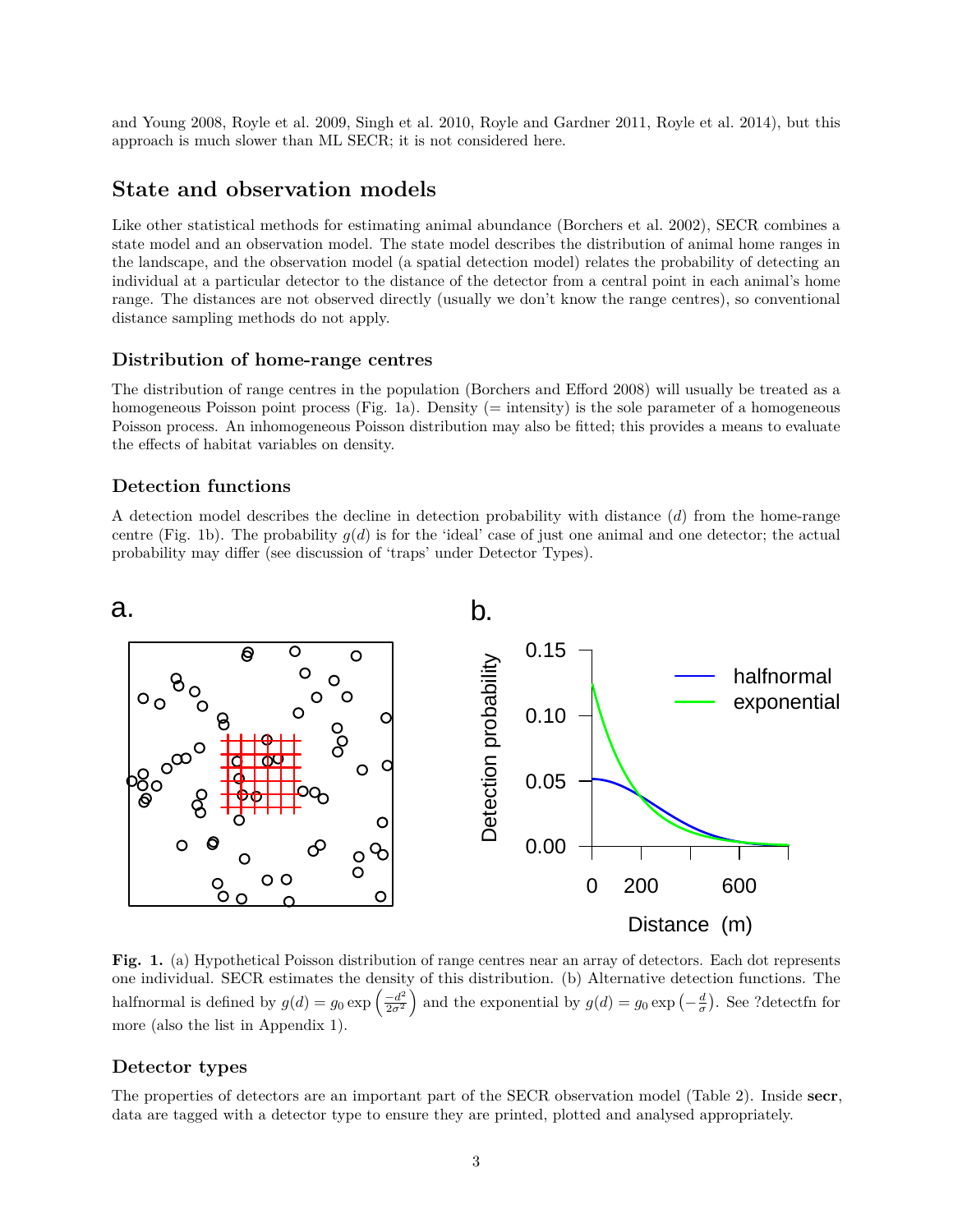and Young 2008, Royle et al. 2009, Singh et al. 2010, Royle and Gardner 2011, Royle et al. 2014), but this approach is much slower than ML SECR; it is not considered here.

# <span id="page-2-0"></span>**State and observation models**

Like other statistical methods for estimating animal abundance (Borchers et al. 2002), SECR combines a state model and an observation model. The state model describes the distribution of animal home ranges in the landscape, and the observation model (a spatial detection model) relates the probability of detecting an individual at a particular detector to the distance of the detector from a central point in each animal's home range. The distances are not observed directly (usually we don't know the range centres), so conventional distance sampling methods do not apply.

### <span id="page-2-1"></span>**Distribution of home-range centres**

The distribution of range centres in the population (Borchers and Efford 2008) will usually be treated as a homogeneous Poisson point process (Fig. 1a). Density (= intensity) is the sole parameter of a homogeneous Poisson process. An inhomogeneous Poisson distribution may also be fitted; this provides a means to evaluate the effects of habitat variables on density.

## <span id="page-2-2"></span>**Detection functions**

A detection model describes the decline in detection probability with distance (*d*) from the home-range centre (Fig. 1b). The probability  $g(d)$  is for the 'ideal' case of just one animal and one detector; the actual probability may differ (see discussion of 'traps' under Detector Types).



**Fig. 1.** (a) Hypothetical Poisson distribution of range centres near an array of detectors. Each dot represents one individual. SECR estimates the density of this distribution. (b) Alternative detection functions. The halfnormal is defined by  $g(d) = g_0 \exp \left( \frac{-d^2}{2\sigma^2} \right)$  $\left(\frac{-d^2}{2\sigma^2}\right)$  and the exponential by  $g(d) = g_0 \exp\left(-\frac{d}{\sigma}\right)$ . See ?detectfn for more (also the list in [Appendix 1\)](#page-13-1).

## <span id="page-2-3"></span>**Detector types**

The properties of detectors are an important part of the SECR observation model (Table 2). Inside **secr**, data are tagged with a detector type to ensure they are printed, plotted and analysed appropriately.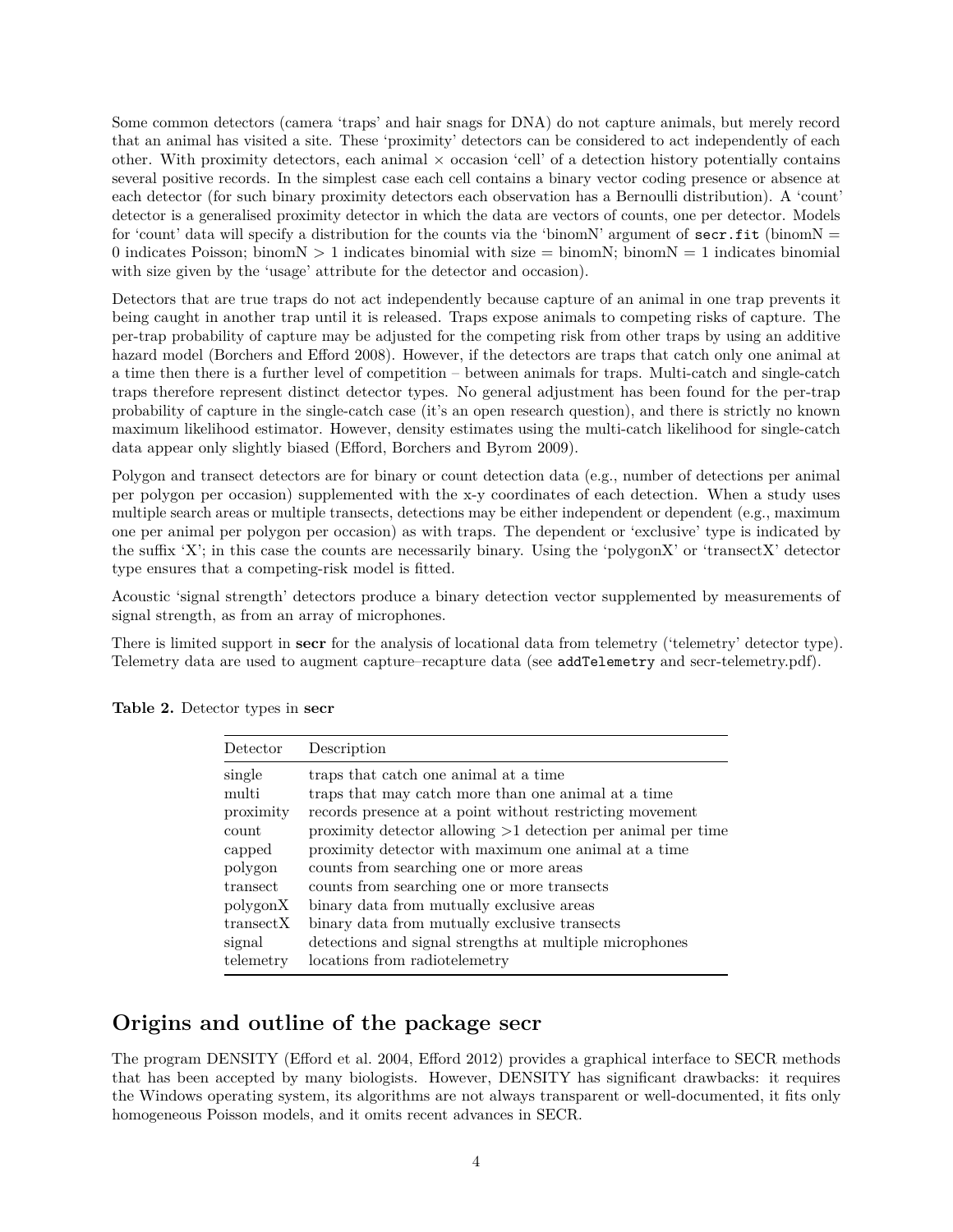Some common detectors (camera 'traps' and hair snags for DNA) do not capture animals, but merely record that an animal has visited a site. These 'proximity' detectors can be considered to act independently of each other. With proximity detectors, each animal  $\times$  occasion 'cell' of a detection history potentially contains several positive records. In the simplest case each cell contains a binary vector coding presence or absence at each detector (for such binary proximity detectors each observation has a Bernoulli distribution). A 'count' detector is a generalised proximity detector in which the data are vectors of counts, one per detector. Models for 'count' data will specify a distribution for the counts via the 'binomN' argument of  $sec:fit$  (binomN = 0 indicates Poisson; binom $N > 1$  indicates binomial with size  $=$  binom $N$ ; binom $N = 1$  indicates binomial with size given by the 'usage' attribute for the detector and occasion).

Detectors that are true traps do not act independently because capture of an animal in one trap prevents it being caught in another trap until it is released. Traps expose animals to competing risks of capture. The per-trap probability of capture may be adjusted for the competing risk from other traps by using an additive hazard model (Borchers and Efford 2008). However, if the detectors are traps that catch only one animal at a time then there is a further level of competition – between animals for traps. Multi-catch and single-catch traps therefore represent distinct detector types. No general adjustment has been found for the per-trap probability of capture in the single-catch case (it's an open research question), and there is strictly no known maximum likelihood estimator. However, density estimates using the multi-catch likelihood for single-catch data appear only slightly biased (Efford, Borchers and Byrom 2009).

Polygon and transect detectors are for binary or count detection data (e.g., number of detections per animal per polygon per occasion) supplemented with the x-y coordinates of each detection. When a study uses multiple search areas or multiple transects, detections may be either independent or dependent (e.g., maximum one per animal per polygon per occasion) as with traps. The dependent or 'exclusive' type is indicated by the suffix 'X'; in this case the counts are necessarily binary. Using the 'polygonX' or 'transectX' detector type ensures that a competing-risk model is fitted.

Acoustic 'signal strength' detectors produce a binary detection vector supplemented by measurements of signal strength, as from an array of microphones.

There is limited support in **secr** for the analysis of locational data from telemetry ('telemetry' detector type). Telemetry data are used to augment capture–recapture data (see addTelemetry and [secr-telemetry.pdf\)](https://www.otago.ac.nz/density/pdfs/secr-telemetry.pdf).

| Detector   | Description                                                    |
|------------|----------------------------------------------------------------|
| single     | traps that catch one animal at a time                          |
| multi      | traps that may catch more than one animal at a time            |
| proximity  | records presence at a point without restricting movement       |
| count      | proximity detector allowing $>1$ detection per animal per time |
| capped     | proximity detector with maximum one animal at a time           |
| polygon    | counts from searching one or more areas                        |
| transect   | counts from searching one or more transects                    |
| polygonX   | binary data from mutually exclusive areas                      |
| transect X | binary data from mutually exclusive transects                  |
| signal     | detections and signal strengths at multiple microphones        |
| telemetry  | locations from radiotelemetry                                  |

**Table 2.** Detector types in **secr**

# <span id="page-3-0"></span>**Origins and outline of the package secr**

The program DENSITY (Efford et al. 2004, Efford 2012) provides a graphical interface to SECR methods that has been accepted by many biologists. However, DENSITY has significant drawbacks: it requires the Windows operating system, its algorithms are not always transparent or well-documented, it fits only homogeneous Poisson models, and it omits recent advances in SECR.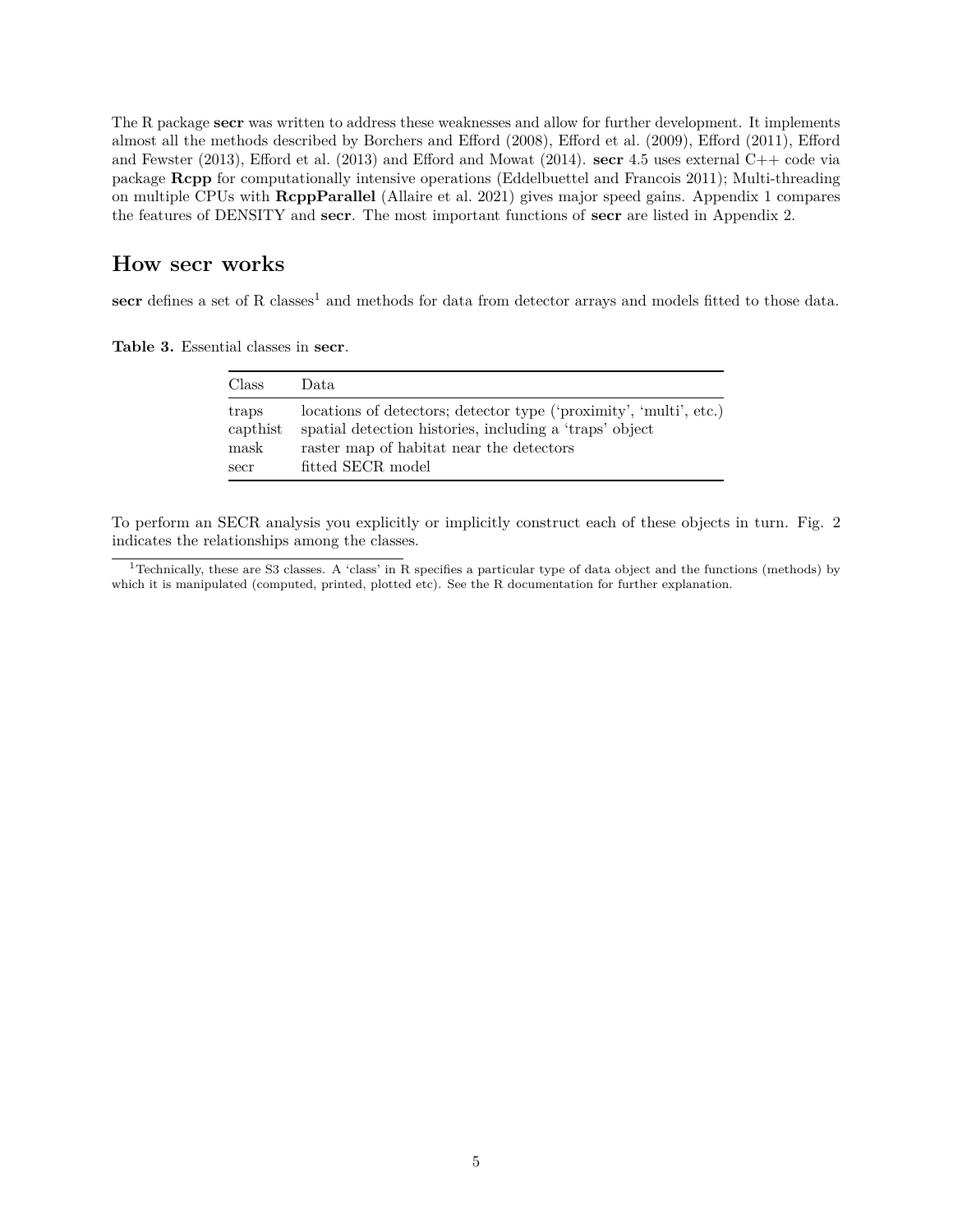The R package **secr** was written to address these weaknesses and allow for further development. It implements almost all the methods described by Borchers and Efford (2008), Efford et al. (2009), Efford (2011), Efford and Fewster (2013), Efford et al. (2013) and Efford and Mowat (2014). **secr** 4.5 uses external C++ code via package **Rcpp** for computationally intensive operations (Eddelbuettel and Francois 2011); Multi-threading on multiple CPUs with **RcppParallel** (Allaire et al. 2021) gives major speed gains. [Appendix 1](#page-13-1) compares the features of DENSITY and **secr**. The most important functions of **secr** are listed in [Appendix 2.](#page-15-1)

# <span id="page-4-0"></span>**How secr works**

secr defines a set of R classes<sup>[1](#page-4-1)</sup> and methods for data from detector arrays and models fitted to those data.

**Table 3.** Essential classes in **secr**.

| Class    | Data.                                                              |
|----------|--------------------------------------------------------------------|
| traps    | locations of detectors; detector type ('proximity', 'multi', etc.) |
| capthist | spatial detection histories, including a 'traps' object            |
| mask     | raster map of habitat near the detectors                           |
| secr     | fitted SECR model                                                  |

To perform an SECR analysis you explicitly or implicitly construct each of these objects in turn. Fig. 2 indicates the relationships among the classes.

<span id="page-4-1"></span><sup>&</sup>lt;sup>1</sup>Technically, these are S3 classes. A 'class' in R specifies a particular type of data object and the functions (methods) by which it is manipulated (computed, printed, plotted etc). See the R documentation for further explanation.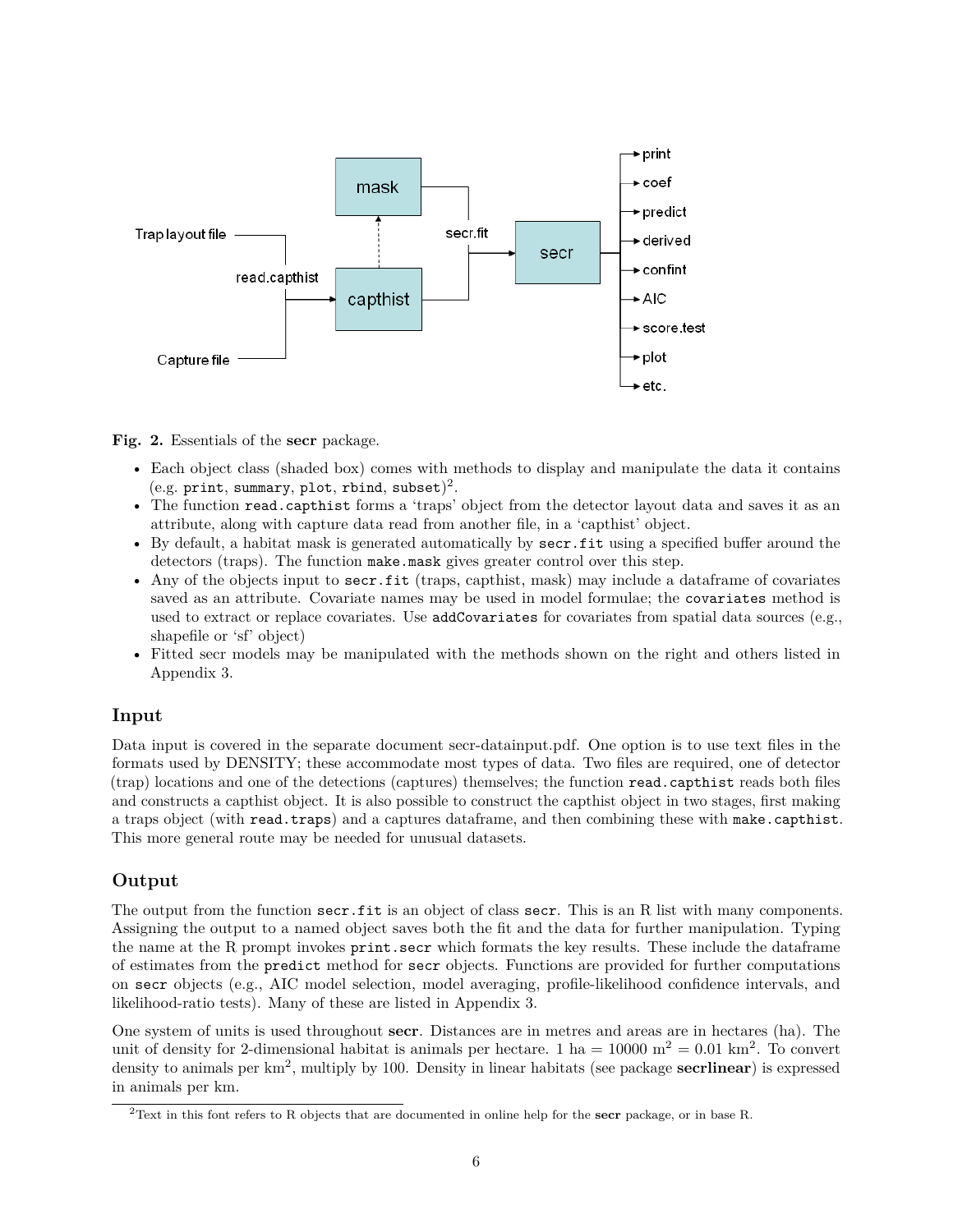

**Fig. 2.** Essentials of the **secr** package.

- Each object class (shaded box) comes with methods to display and manipulate the data it contains  $(e.g. print, summary, plot, rbind, subset)<sup>2</sup>.$  $(e.g. print, summary, plot, rbind, subset)<sup>2</sup>.$  $(e.g. print, summary, plot, rbind, subset)<sup>2</sup>.$
- The function read.capthist forms a 'traps' object from the detector layout data and saves it as an attribute, along with capture data read from another file, in a 'capthist' object.
- By default, a habitat mask is generated automatically by secr.fit using a specified buffer around the detectors (traps). The function make.mask gives greater control over this step.
- Any of the objects input to secr.fit (traps, capthist, mask) may include a dataframe of covariates saved as an attribute. Covariate names may be used in model formulae; the covariates method is used to extract or replace covariates. Use addCovariates for covariates from spatial data sources (e.g., shapefile or 'sf' object)
- Fitted secr models may be manipulated with the methods shown on the right and others listed in [Appendix 3.](#page-16-1)

#### <span id="page-5-0"></span>**Input**

Data input is covered in the separate document [secr-datainput.pdf.](https://www.otago.ac.nz/density/pdfs/secr-datainput.pdf) One option is to use text files in the formats used by DENSITY; these accommodate most types of data. Two files are required, one of detector (trap) locations and one of the detections (captures) themselves; the function read.capthist reads both files and constructs a capthist object. It is also possible to construct the capthist object in two stages, first making a traps object (with read.traps) and a captures dataframe, and then combining these with make.capthist. This more general route may be needed for unusual datasets.

## <span id="page-5-1"></span>**Output**

The output from the function secr.fit is an object of class secr. This is an R list with many components. Assigning the output to a named object saves both the fit and the data for further manipulation. Typing the name at the R prompt invokes print.secr which formats the key results. These include the dataframe of estimates from the predict method for secr objects. Functions are provided for further computations on secr objects (e.g., AIC model selection, model averaging, profile-likelihood confidence intervals, and likelihood-ratio tests). Many of these are listed in [Appendix 3.](#page-16-1)

One system of units is used throughout **secr**. Distances are in metres and areas are in hectares (ha). The unit of density for 2-dimensional habitat is animals per hectare. 1 ha =  $10000 \text{ m}^2 = 0.01 \text{ km}^2$ . To convert density to animals per km<sup>2</sup> , multiply by 100. Density in linear habitats (see package **secrlinear**) is expressed in animals per km.

<span id="page-5-2"></span><sup>2</sup>Text in this font refers to R objects that are documented in online help for the **secr** package, or in base R.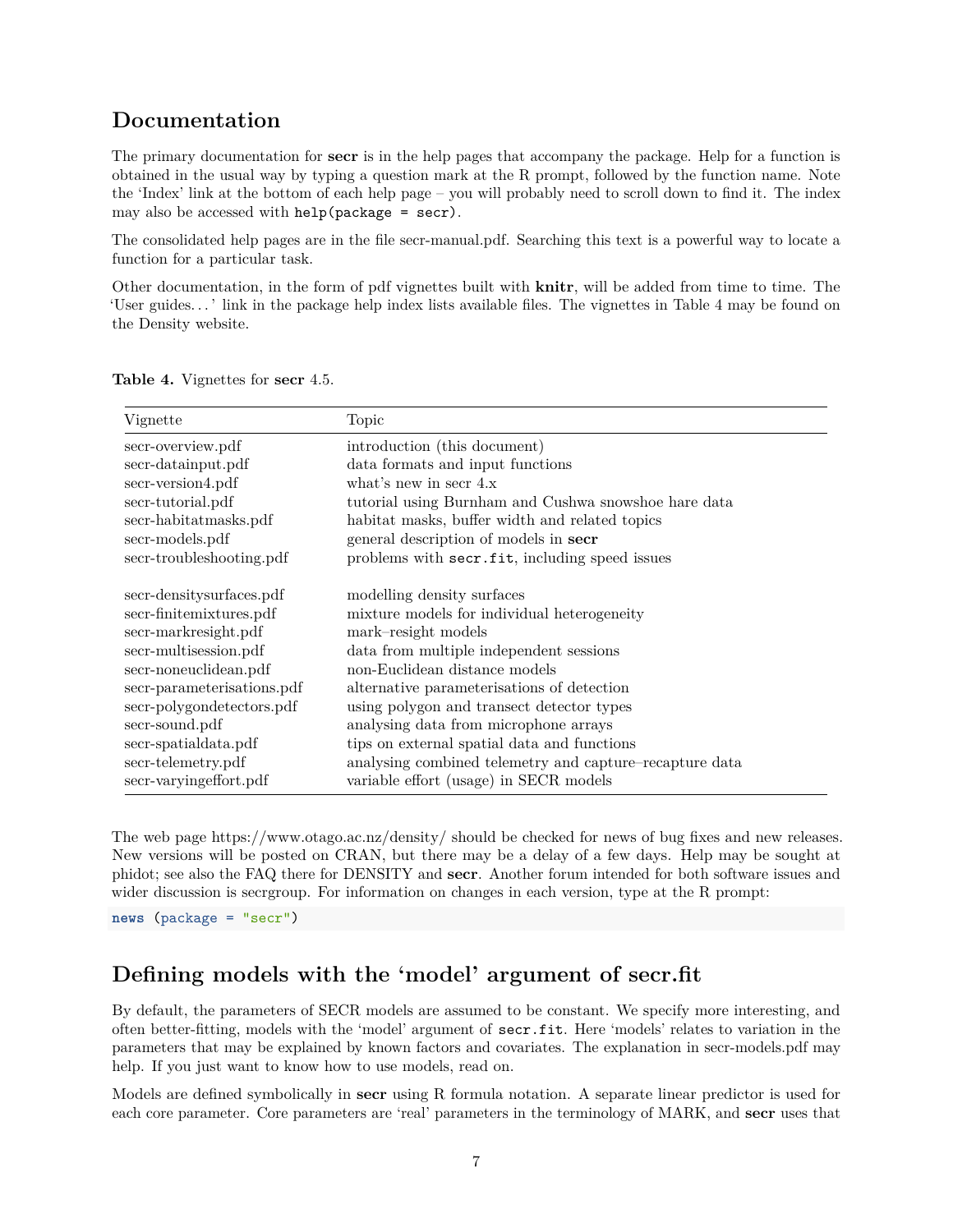# <span id="page-6-0"></span>**Documentation**

The primary documentation for **secr** is in the help pages that accompany the package. Help for a function is obtained in the usual way by typing a question mark at the R prompt, followed by the function name. Note the 'Index' link at the bottom of each help page – you will probably need to scroll down to find it. The index may also be accessed with help(package = secr).

The consolidated help pages are in the file [secr-manual.pdf.](https://www.otago.ac.nz/density/pdfs/secr-manual.pdf) Searching this text is a powerful way to locate a function for a particular task.

Other documentation, in the form of pdf vignettes built with **knitr**, will be added from time to time. The 'User guides. . . ' link in the package help index lists available files. The vignettes in Table 4 may be found on the Density website.

| Vignette                   | Topic                                                   |
|----------------------------|---------------------------------------------------------|
| secr-overview.pdf          | introduction (this document)                            |
| secr-datainput.pdf         | data formats and input functions                        |
| secr-version4.pdf          | what's new in secr $4.x$                                |
| secr-tutorial.pdf          | tutorial using Burnham and Cushwa snowshoe hare data    |
| secr-habitatmasks.pdf      | habitat masks, buffer width and related topics          |
| secr-models.pdf            | general description of models in secr                   |
| secr-troubleshooting.pdf   | problems with secr.fit, including speed issues          |
| secr-densitysurfaces.pdf   | modelling density surfaces                              |
| secr-finitemixtures.pdf    | mixture models for individual heterogeneity             |
| secr-markresight.pdf       | mark-resight models                                     |
| secr-multisession.pdf      | data from multiple independent sessions                 |
| secr-noneuclidean.pdf      | non-Euclidean distance models                           |
| secr-parameterisations.pdf | alternative parameterisations of detection              |
| secr-polygondetectors.pdf  | using polygon and transect detector types               |
| secr-sound.pdf             | analysing data from microphone arrays                   |
| secr-spatialdata.pdf       | tips on external spatial data and functions             |
| secr-telemetry.pdf         | analysing combined telemetry and capture-recapture data |
| secr-varying effort.pdf    | variable effort (usage) in SECR models                  |

**Table 4.** Vignettes for **secr** 4.5.

The web page<https://www.otago.ac.nz/density/> should be checked for news of bug fixes and new releases. New versions will be posted on [CRAN,](https://cran.r-project.org/package=secr) but there may be a delay of a few days. Help may be sought at [phidot;](http://www.phidot.org/forum/) see also the FAQ there for DENSITY and **secr**. Another forum intended for both software issues and wider discussion is [secrgroup.](https://groups.google.com/forum/#!forum/secrgroup) For information on changes in each version, type at the R prompt:

**news** (package = "secr")

# <span id="page-6-1"></span>**Defining models with the 'model' argument of secr.fit**

By default, the parameters of SECR models are assumed to be constant. We specify more interesting, and often better-fitting, models with the 'model' argument of secr.fit. Here 'models' relates to variation in the parameters that may be explained by known factors and covariates. The explanation in [secr-models.pdf](https://www.otago.ac.nz/density/pdfs/secr-models.pdf) may help. If you just want to know how to use models, read on.

Models are defined symbolically in **secr** using R formula notation. A separate linear predictor is used for each core parameter. Core parameters are 'real' parameters in the terminology of MARK, and **secr** uses that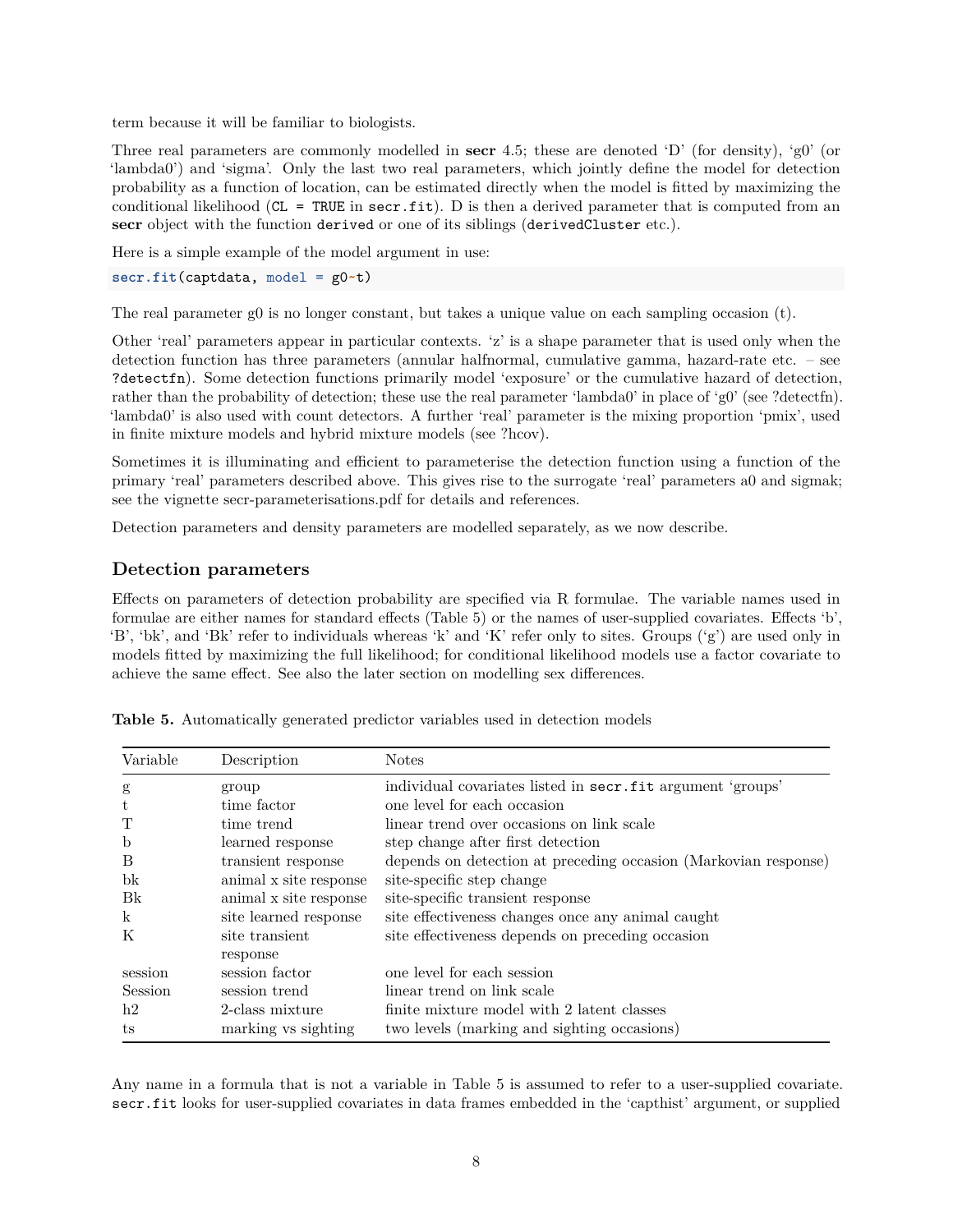term because it will be familiar to biologists.

Three real parameters are commonly modelled in **secr** 4.5; these are denoted 'D' (for density), 'g0' (or 'lambda0') and 'sigma'. Only the last two real parameters, which jointly define the model for detection probability as a function of location, can be estimated directly when the model is fitted by maximizing the conditional likelihood ( $CL = TRUE$  in  $sec.fit$ ). D is then a derived parameter that is computed from an **secr** object with the function derived or one of its siblings (derivedCluster etc.).

Here is a simple example of the model argument in use:

```
secr.fit(captdata, model = g0~t)
```
The real parameter g0 is no longer constant, but takes a unique value on each sampling occasion (t).

Other 'real' parameters appear in particular contexts. 'z' is a shape parameter that is used only when the detection function has three parameters (annular halfnormal, cumulative gamma, hazard-rate etc. – see ?detectfn). Some detection functions primarily model 'exposure' or the cumulative hazard of detection, rather than the probability of detection; these use the real parameter 'lambda0' in place of 'g0' (see ?detectfn). 'lambda0' is also used with count detectors. A further 'real' parameter is the mixing proportion 'pmix', used in finite mixture models and hybrid mixture models (see ?hcov).

Sometimes it is illuminating and efficient to parameterise the detection function using a function of the primary 'real' parameters described above. This gives rise to the surrogate 'real' parameters a0 and sigmak; see the vignette [secr-parameterisations.pdf](https://www.otago.ac.nz/density/pdfs/secr-parameterisations.pdf) for details and references.

Detection parameters and density parameters are modelled separately, as we now describe.

## <span id="page-7-0"></span>**Detection parameters**

Effects on parameters of detection probability are specified via R formulae. The variable names used in formulae are either names for standard effects (Table 5) or the names of user-supplied covariates. Effects 'b', 'B', 'bk', and 'Bk' refer to individuals whereas 'k' and 'K' refer only to sites. Groups ('g') are used only in models fitted by maximizing the full likelihood; for conditional likelihood models use a factor covariate to achieve the same effect. See also the later section on [modelling sex differences.](#page-9-5)

| Variable    | Description            | <b>Notes</b>                                                    |
|-------------|------------------------|-----------------------------------------------------------------|
| g           | group                  | individual covariates listed in secr.fit argument 'groups'      |
| t           | time factor            | one level for each occasion                                     |
|             | time trend             | linear trend over occasions on link scale                       |
| $\mathbf b$ | learned response       | step change after first detection                               |
| B           | transient response     | depends on detection at preceding occasion (Markovian response) |
| bk          | animal x site response | site-specific step change                                       |
| Bk          | animal x site response | site-specific transient response                                |
| k           | site learned response  | site effectiveness changes once any animal caught               |
| K           | site transient         | site effectiveness depends on preceding occasion                |
|             | response               |                                                                 |
| session     | session factor         | one level for each session                                      |
| Session     | session trend          | linear trend on link scale                                      |
| h2          | 2-class mixture        | finite mixture model with 2 latent classes                      |
| ts          | marking vs sighting    | two levels (marking and sighting occasions)                     |

**Table 5.** Automatically generated predictor variables used in detection models

Any name in a formula that is not a variable in Table 5 is assumed to refer to a user-supplied covariate. secr.fit looks for user-supplied covariates in data frames embedded in the 'capthist' argument, or supplied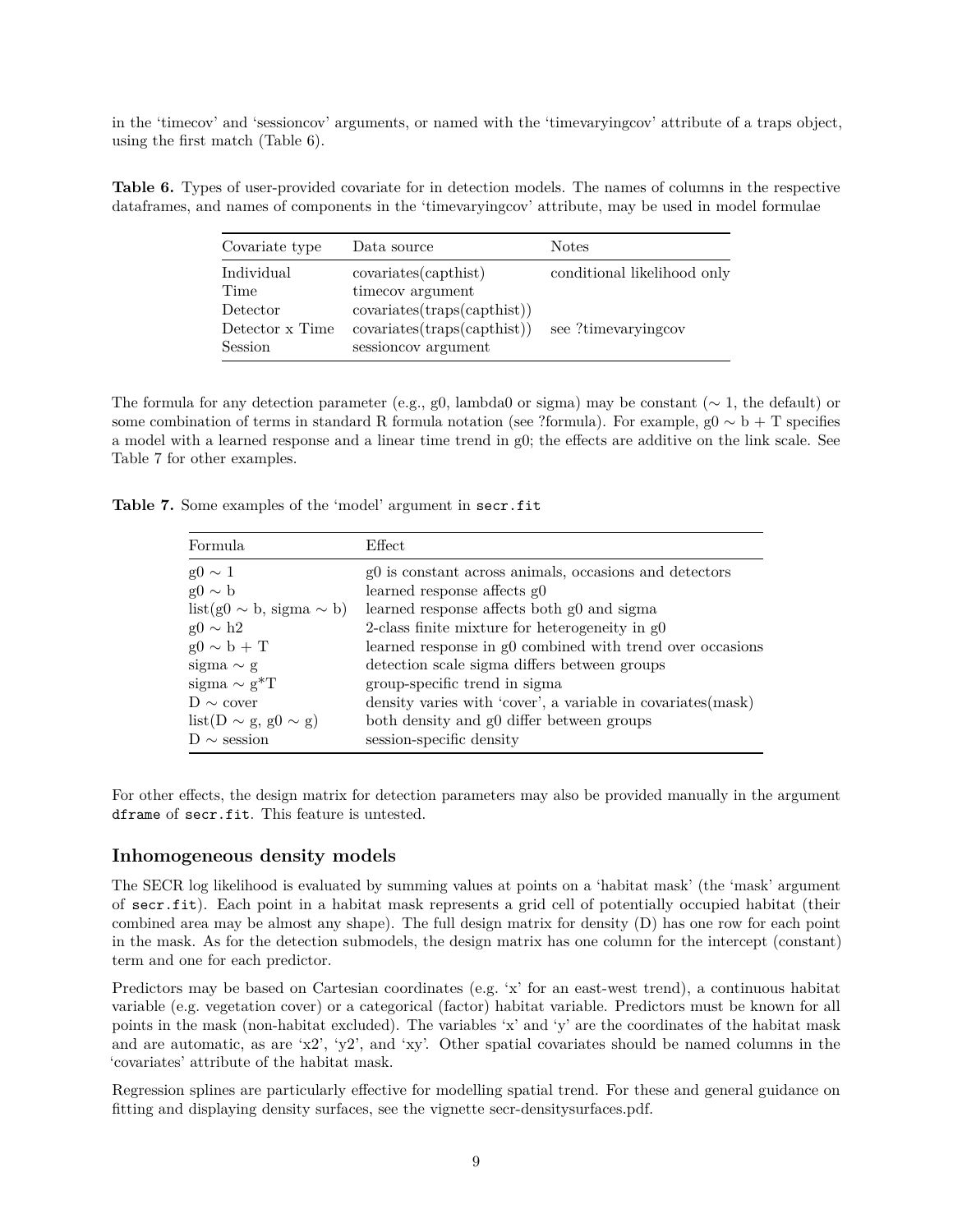in the 'timecov' and 'sessioncov' arguments, or named with the 'timevaryingcov' attribute of a traps object, using the first match (Table 6).

**Table 6.** Types of user-provided covariate for in detection models. The names of columns in the respective dataframes, and names of components in the 'timevaryingcov' attribute, may be used in model formulae

| Covariate type  | Data source                 | <b>Notes</b>                |
|-----------------|-----------------------------|-----------------------------|
| Individual      | covariates(capthis)         | conditional likelihood only |
| Time            | timecov argument            |                             |
| Detector        | covariates(traps(capthis))  |                             |
| Detector x Time | covariates(traps(capthist)) | see ?timeyaryingcov         |
| Session         | sessioncov argument         |                             |

The formula for any detection parameter (e.g., g0, lambda0 or sigma) may be constant ( $\sim 1$ , the default) or some combination of terms in standard R formula notation (see ?formula). For example,  $g0 \sim b + T$  specifies a model with a learned response and a linear time trend in g0; the effects are additive on the link scale. See Table 7 for other examples.

|  |  |  |  |  | Table 7. Some examples of the 'model' argument in secr.fit |  |  |  |
|--|--|--|--|--|------------------------------------------------------------|--|--|--|
|--|--|--|--|--|------------------------------------------------------------|--|--|--|

| Formula                         | $E$ ffect                                                    |
|---------------------------------|--------------------------------------------------------------|
| $g0 \sim 1$                     | g0 is constant across animals, occasions and detectors       |
| $g0 \sim b$                     | learned response affects g0                                  |
| $list(g0 \sim b, sigma \sim b)$ | learned response affects both g0 and sigma                   |
| $g0 \sim h2$                    | 2-class finite mixture for heterogeneity in $g0$             |
| $g0 \sim b + T$                 | learned response in g0 combined with trend over occasions    |
| sigma $\sim g$                  | detection scale sigma differs between groups                 |
| sigma $\sim$ g <sup>*</sup> T   | group-specific trend in sigma                                |
| $D \sim$ cover                  | density varies with 'cover', a variable in covariates (mask) |
| $list(D \sim g, g0 \sim g)$     | both density and g0 differ between groups                    |
| $D \sim$ session                | session-specific density                                     |

For other effects, the design matrix for detection parameters may also be provided manually in the argument dframe of secr.fit. This feature is untested.

#### <span id="page-8-0"></span>**Inhomogeneous density models**

The SECR log likelihood is evaluated by summing values at points on a 'habitat mask' (the 'mask' argument of secr.fit). Each point in a habitat mask represents a grid cell of potentially occupied habitat (their combined area may be almost any shape). The full design matrix for density (D) has one row for each point in the mask. As for the detection submodels, the design matrix has one column for the intercept (constant) term and one for each predictor.

Predictors may be based on Cartesian coordinates (e.g. 'x' for an east-west trend), a continuous habitat variable (e.g. vegetation cover) or a categorical (factor) habitat variable. Predictors must be known for all points in the mask (non-habitat excluded). The variables 'x' and 'y' are the coordinates of the habitat mask and are automatic, as are 'x2', 'y2', and 'xy'. Other spatial covariates should be named columns in the 'covariates' attribute of the habitat mask.

Regression splines are particularly effective for modelling spatial trend. For these and general guidance on fitting and displaying density surfaces, see the vignette [secr-densitysurfaces.pdf.](https://www.otago.ac.nz/density/pdfs/secr-densitysurfaces.pdf)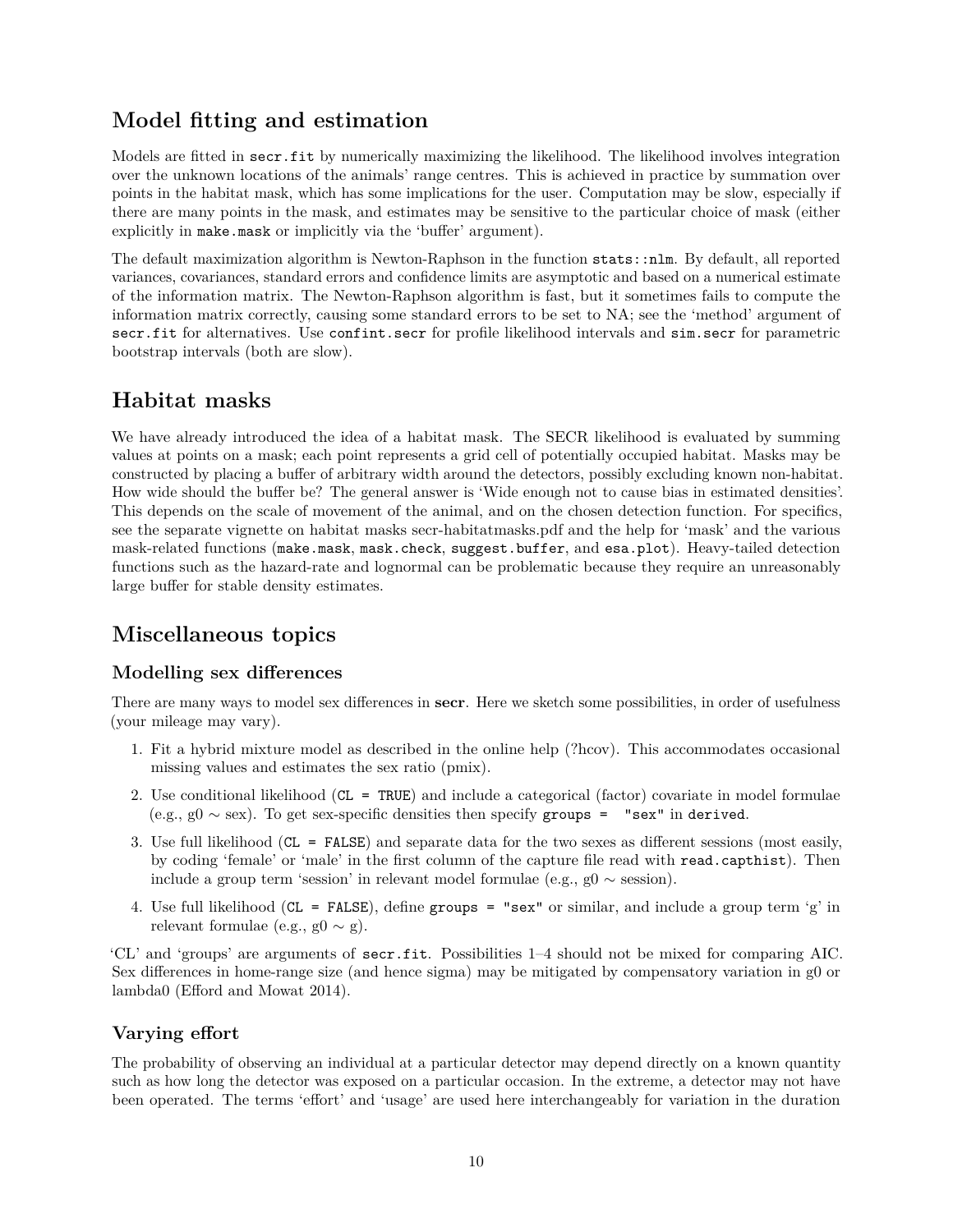# <span id="page-9-0"></span>**Model fitting and estimation**

Models are fitted in secr.fit by numerically maximizing the likelihood. The likelihood involves integration over the unknown locations of the animals' range centres. This is achieved in practice by summation over points in the habitat mask, which has some implications for the user. Computation may be slow, especially if there are many points in the mask, and estimates may be sensitive to the particular choice of mask (either explicitly in make.mask or implicitly via the 'buffer' argument).

The default maximization algorithm is Newton-Raphson in the function stats::nlm. By default, all reported variances, covariances, standard errors and confidence limits are asymptotic and based on a numerical estimate of the information matrix. The Newton-Raphson algorithm is fast, but it sometimes fails to compute the information matrix correctly, causing some standard errors to be set to NA; see the 'method' argument of secr.fit for alternatives. Use confint.secr for profile likelihood intervals and sim.secr for parametric bootstrap intervals (both are slow).

# <span id="page-9-1"></span>**Habitat masks**

We have already introduced the idea of a habitat mask. The SECR likelihood is evaluated by summing values at points on a mask; each point represents a grid cell of potentially occupied habitat. Masks may be constructed by placing a buffer of arbitrary width around the detectors, possibly excluding known non-habitat. How wide should the buffer be? The general answer is 'Wide enough not to cause bias in estimated densities'. This depends on the scale of movement of the animal, and on the chosen detection function. For specifics, see the separate vignette on habitat masks [secr-habitatmasks.pdf](https://www.otago.ac.nz/density/pdfs/secr-habitatmasks.pdf) and the help for 'mask' and the various mask-related functions (make.mask, mask.check, suggest.buffer, and esa.plot). Heavy-tailed detection functions such as the hazard-rate and lognormal can be problematic because they require an unreasonably large buffer for stable density estimates.

# <span id="page-9-2"></span>**Miscellaneous topics**

# <span id="page-9-5"></span><span id="page-9-3"></span>**Modelling sex differences**

There are many ways to model sex differences in **secr**. Here we sketch some possibilities, in order of usefulness (your mileage may vary).

- 1. Fit a hybrid mixture model as described in the online help (?hcov). This accommodates occasional missing values and estimates the sex ratio (pmix).
- 2. Use conditional likelihood (CL = TRUE) and include a categorical (factor) covariate in model formulae (e.g., g0  $\sim$  sex). To get sex-specific densities then specify groups = "sex" in derived.
- 3. Use full likelihood (CL = FALSE) and separate data for the two sexes as different sessions (most easily, by coding 'female' or 'male' in the first column of the capture file read with read.capthist). Then include a group term 'session' in relevant model formulae (e.g.,  $g0 \sim$  session).
- 4. Use full likelihood (CL = FALSE), define groups = "sex" or similar, and include a group term 'g' in relevant formulae (e.g., g0  $\sim$  g).

'CL' and 'groups' are arguments of secr.fit. Possibilities 1–4 should not be mixed for comparing AIC. Sex differences in home-range size (and hence sigma) may be mitigated by compensatory variation in g0 or lambda0 (Efford and Mowat 2014).

# <span id="page-9-4"></span>**Varying effort**

The probability of observing an individual at a particular detector may depend directly on a known quantity such as how long the detector was exposed on a particular occasion. In the extreme, a detector may not have been operated. The terms 'effort' and 'usage' are used here interchangeably for variation in the duration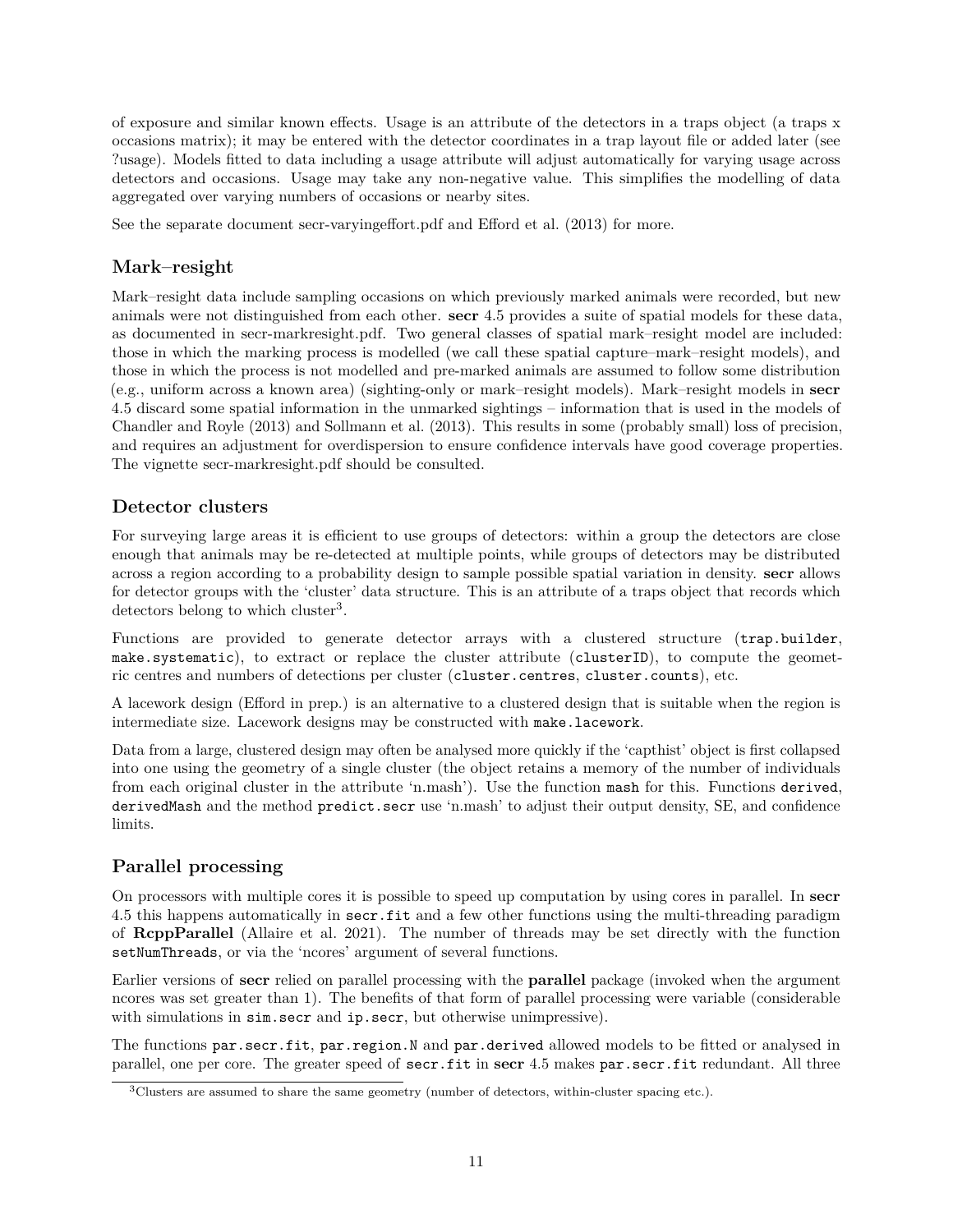of exposure and similar known effects. Usage is an attribute of the detectors in a traps object (a traps x occasions matrix); it may be entered with the detector coordinates in a trap layout file or added later (see ?usage). Models fitted to data including a usage attribute will adjust automatically for varying usage across detectors and occasions. Usage may take any non-negative value. This simplifies the modelling of data aggregated over varying numbers of occasions or nearby sites.

See the separate document [secr-varyingeffort.pdf](https://www.otago.ac.nz/density/pdfs/secr-varyingeffort.pdf) and Efford et al. (2013) for more.

# <span id="page-10-0"></span>**Mark–resight**

Mark–resight data include sampling occasions on which previously marked animals were recorded, but new animals were not distinguished from each other. **secr** 4.5 provides a suite of spatial models for these data, as documented in [secr-markresight.pdf.](https://www.otago.ac.nz/density/pdfs/secr-markresight.pdf) Two general classes of spatial mark–resight model are included: those in which the marking process is modelled (we call these spatial capture–mark–resight models), and those in which the process is not modelled and pre-marked animals are assumed to follow some distribution (e.g., uniform across a known area) (sighting-only or mark–resight models). Mark–resight models in **secr** 4.5 discard some spatial information in the unmarked sightings – information that is used in the models of Chandler and Royle (2013) and Sollmann et al. (2013). This results in some (probably small) loss of precision, and requires an adjustment for overdispersion to ensure confidence intervals have good coverage properties. The vignette [secr-markresight.pdf](https://www.otago.ac.nz/density/pdfs/secr-markresight.pdf) should be consulted.

# <span id="page-10-1"></span>**Detector clusters**

For surveying large areas it is efficient to use groups of detectors: within a group the detectors are close enough that animals may be re-detected at multiple points, while groups of detectors may be distributed across a region according to a probability design to sample possible spatial variation in density. **secr** allows for detector groups with the 'cluster' data structure. This is an attribute of a traps object that records which detectors belong to which cluster<sup>[3](#page-10-3)</sup>.

Functions are provided to generate detector arrays with a clustered structure (trap.builder, make.systematic), to extract or replace the cluster attribute (clusterID), to compute the geometric centres and numbers of detections per cluster (cluster.centres, cluster.counts), etc.

A lacework design (Efford in prep.) is an alternative to a clustered design that is suitable when the region is intermediate size. Lacework designs may be constructed with make.lacework.

Data from a large, clustered design may often be analysed more quickly if the 'capthist' object is first collapsed into one using the geometry of a single cluster (the object retains a memory of the number of individuals from each original cluster in the attribute 'n.mash'). Use the function mash for this. Functions derived, derivedMash and the method predict.secr use 'n.mash' to adjust their output density, SE, and confidence limits.

# <span id="page-10-2"></span>**Parallel processing**

On processors with multiple cores it is possible to speed up computation by using cores in parallel. In **secr** 4.5 this happens automatically in secr.fit and a few other functions using the multi-threading paradigm of **RcppParallel** (Allaire et al. 2021). The number of threads may be set directly with the function setNumThreads, or via the 'ncores' argument of several functions.

Earlier versions of **secr** relied on parallel processing with the **parallel** package (invoked when the argument ncores was set greater than 1). The benefits of that form of parallel processing were variable (considerable with simulations in sim.secr and ip.secr, but otherwise unimpressive).

The functions par.secr.fit, par.region.N and par.derived allowed models to be fitted or analysed in parallel, one per core. The greater speed of secr.fit in **secr** 4.5 makes par.secr.fit redundant. All three

<span id="page-10-3"></span> $3$ Clusters are assumed to share the same geometry (number of detectors, within-cluster spacing etc.).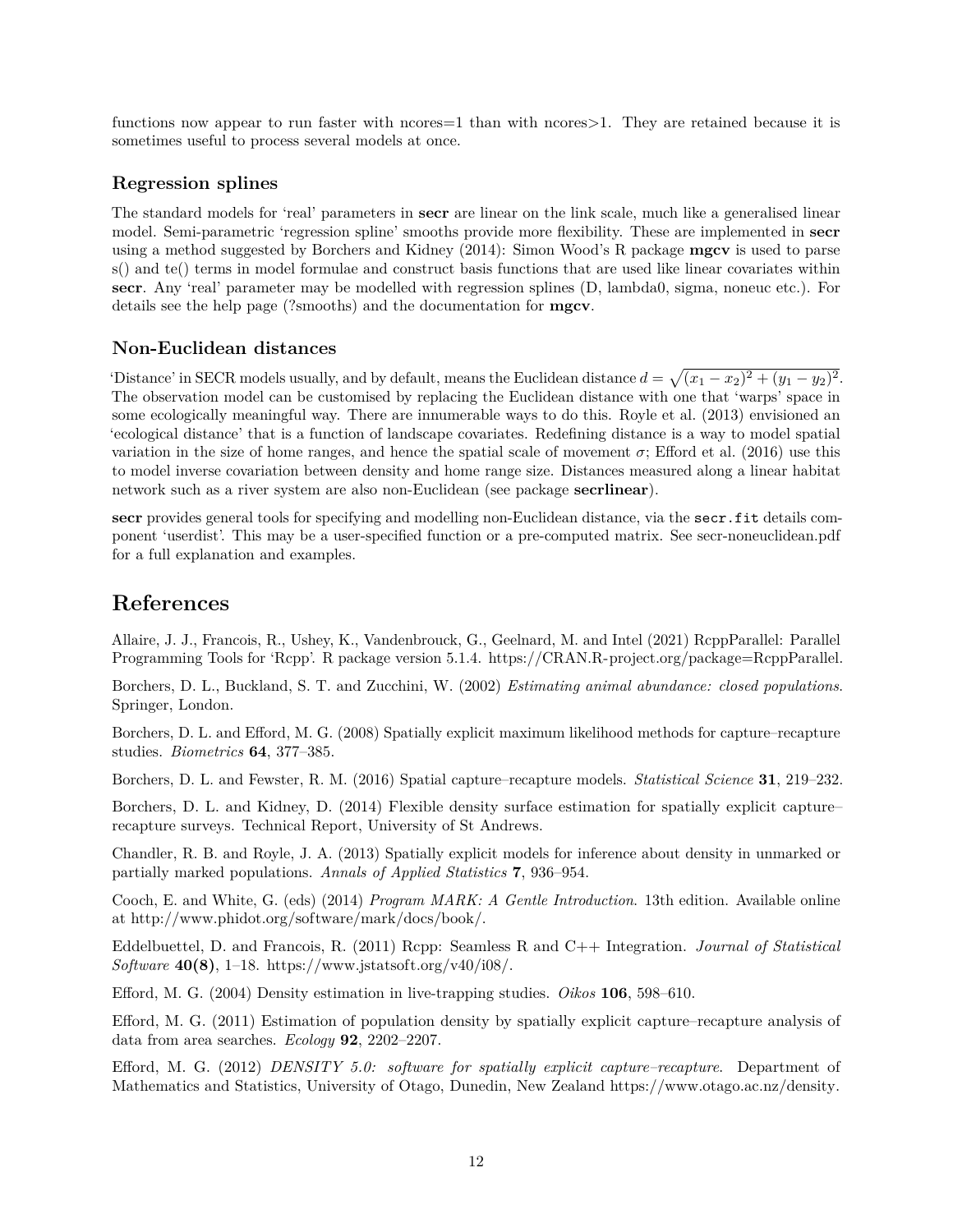functions now appear to run faster with ncores = 1 than with ncores > 1. They are retained because it is sometimes useful to process several models at once.

## <span id="page-11-0"></span>**Regression splines**

The standard models for 'real' parameters in **secr** are linear on the link scale, much like a generalised linear model. Semi-parametric 'regression spline' smooths provide more flexibility. These are implemented in **secr** using a method suggested by Borchers and Kidney (2014): Simon Wood's R package **mgcv** is used to parse s() and te() terms in model formulae and construct basis functions that are used like linear covariates within **secr**. Any 'real' parameter may be modelled with regression splines (D, lambda0, sigma, noneuc etc.). For details see the help page (?smooths) and the documentation for **mgcv**.

## <span id="page-11-1"></span>**Non-Euclidean distances**

'Distance' in SECR models usually, and by default, means the Euclidean distance  $d = \sqrt{(x_1 - x_2)^2 + (y_1 - y_2)^2}$ . The observation model can be customised by replacing the Euclidean distance with one that 'warps' space in some ecologically meaningful way. There are innumerable ways to do this. Royle et al. (2013) envisioned an 'ecological distance' that is a function of landscape covariates. Redefining distance is a way to model spatial variation in the size of home ranges, and hence the spatial scale of movement  $\sigma$ ; Efford et al. (2016) use this to model inverse covariation between density and home range size. Distances measured along a linear habitat network such as a river system are also non-Euclidean (see package **secrlinear**).

**secr** provides general tools for specifying and modelling non-Euclidean distance, via the secr.fit details component 'userdist'. This may be a user-specified function or a pre-computed matrix. See [secr-noneuclidean.pdf](https://www.otago.ac.nz/density/pdfs/secr-noneuclidean.pdf) for a full explanation and examples.

# <span id="page-11-2"></span>**References**

Allaire, J. J., Francois, R., Ushey, K., Vandenbrouck, G., Geelnard, M. and Intel (2021) RcppParallel: Parallel Programming Tools for 'Rcpp'. R package version 5.1.4. [https://CRAN.R-project.org/package=RcppParallel.](https://CRAN.R-project.org/package=RcppParallel)

Borchers, D. L., Buckland, S. T. and Zucchini, W. (2002) *Estimating animal abundance: closed populations*. Springer, London.

Borchers, D. L. and Efford, M. G. (2008) Spatially explicit maximum likelihood methods for capture–recapture studies. *Biometrics* **64**, 377–385.

Borchers, D. L. and Fewster, R. M. (2016) Spatial capture–recapture models. *Statistical Science* **31**, 219–232.

Borchers, D. L. and Kidney, D. (2014) Flexible density surface estimation for spatially explicit capture– recapture surveys. Technical Report, University of St Andrews.

Chandler, R. B. and Royle, J. A. (2013) Spatially explicit models for inference about density in unmarked or partially marked populations. *Annals of Applied Statistics* **7**, 936–954.

Cooch, E. and White, G. (eds) (2014) *Program MARK: A Gentle Introduction*. 13th edition. Available online at [http://www.phidot.org/software/mark/docs/book/.](http://www.phidot.org/software/mark/docs/book/)

Eddelbuettel, D. and Francois, R. (2011) Rcpp: Seamless R and C++ Integration. *Journal of Statistical Software* **40(8)**, 1–18. [https://www.jstatsoft.org/v40/i08/.](https://www.jstatsoft.org/v40/i08/)

Efford, M. G. (2004) Density estimation in live-trapping studies. *Oikos* **106**, 598–610.

Efford, M. G. (2011) Estimation of population density by spatially explicit capture–recapture analysis of data from area searches. *Ecology* **92**, 2202–2207.

Efford, M. G. (2012) *DENSITY 5.0: software for spatially explicit capture–recapture*. Department of Mathematics and Statistics, University of Otago, Dunedin, New Zealand [https://www.otago.ac.nz/density.](https://www.otago.ac.nz/density)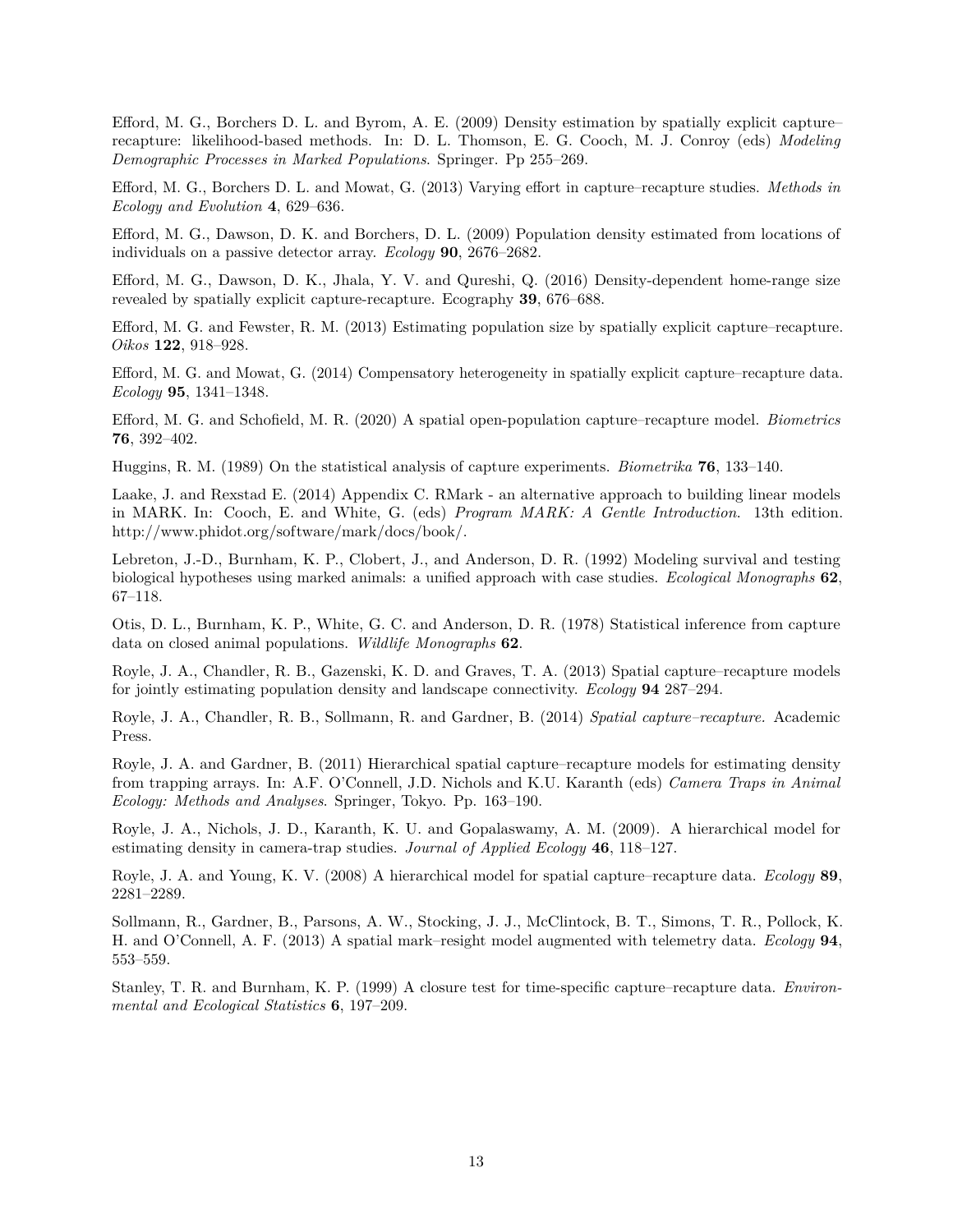Efford, M. G., Borchers D. L. and Byrom, A. E. (2009) Density estimation by spatially explicit capture– recapture: likelihood-based methods. In: D. L. Thomson, E. G. Cooch, M. J. Conroy (eds) *Modeling Demographic Processes in Marked Populations*. Springer. Pp 255–269.

Efford, M. G., Borchers D. L. and Mowat, G. (2013) Varying effort in capture–recapture studies. *Methods in Ecology and Evolution* **4**, 629–636.

Efford, M. G., Dawson, D. K. and Borchers, D. L. (2009) Population density estimated from locations of individuals on a passive detector array. *Ecology* **90**, 2676–2682.

Efford, M. G., Dawson, D. K., Jhala, Y. V. and Qureshi, Q. (2016) Density-dependent home-range size revealed by spatially explicit capture-recapture. Ecography **39**, 676–688.

Efford, M. G. and Fewster, R. M. (2013) Estimating population size by spatially explicit capture–recapture. *Oikos* **122**, 918–928.

Efford, M. G. and Mowat, G. (2014) Compensatory heterogeneity in spatially explicit capture–recapture data. *Ecology* **95**, 1341–1348.

Efford, M. G. and Schofield, M. R. (2020) A spatial open-population capture–recapture model. *Biometrics* **76**, 392–402.

Huggins, R. M. (1989) On the statistical analysis of capture experiments. *Biometrika* **76**, 133–140.

Laake, J. and Rexstad E. (2014) Appendix C. RMark - an alternative approach to building linear models in MARK. In: Cooch, E. and White, G. (eds) *Program MARK: A Gentle Introduction*. 13th edition. [http://www.phidot.org/software/mark/docs/book/.](http://www.phidot.org/software/mark/docs/book/)

Lebreton, J.-D., Burnham, K. P., Clobert, J., and Anderson, D. R. (1992) Modeling survival and testing biological hypotheses using marked animals: a unified approach with case studies. *Ecological Monographs* **62**, 67–118.

Otis, D. L., Burnham, K. P., White, G. C. and Anderson, D. R. (1978) Statistical inference from capture data on closed animal populations. *Wildlife Monographs* **62**.

Royle, J. A., Chandler, R. B., Gazenski, K. D. and Graves, T. A. (2013) Spatial capture–recapture models for jointly estimating population density and landscape connectivity. *Ecology* **94** 287–294.

Royle, J. A., Chandler, R. B., Sollmann, R. and Gardner, B. (2014) *Spatial capture–recapture.* Academic Press.

Royle, J. A. and Gardner, B. (2011) Hierarchical spatial capture–recapture models for estimating density from trapping arrays. In: A.F. O'Connell, J.D. Nichols and K.U. Karanth (eds) *Camera Traps in Animal Ecology: Methods and Analyses*. Springer, Tokyo. Pp. 163–190.

Royle, J. A., Nichols, J. D., Karanth, K. U. and Gopalaswamy, A. M. (2009). A hierarchical model for estimating density in camera-trap studies. *Journal of Applied Ecology* **46**, 118–127.

Royle, J. A. and Young, K. V. (2008) A hierarchical model for spatial capture–recapture data. *Ecology* **89**, 2281–2289.

Sollmann, R., Gardner, B., Parsons, A. W., Stocking, J. J., McClintock, B. T., Simons, T. R., Pollock, K. H. and O'Connell, A. F. (2013) A spatial mark–resight model augmented with telemetry data. *Ecology* **94**, 553–559.

Stanley, T. R. and Burnham, K. P. (1999) A closure test for time-specific capture–recapture data. *Environmental and Ecological Statistics* **6**, 197–209.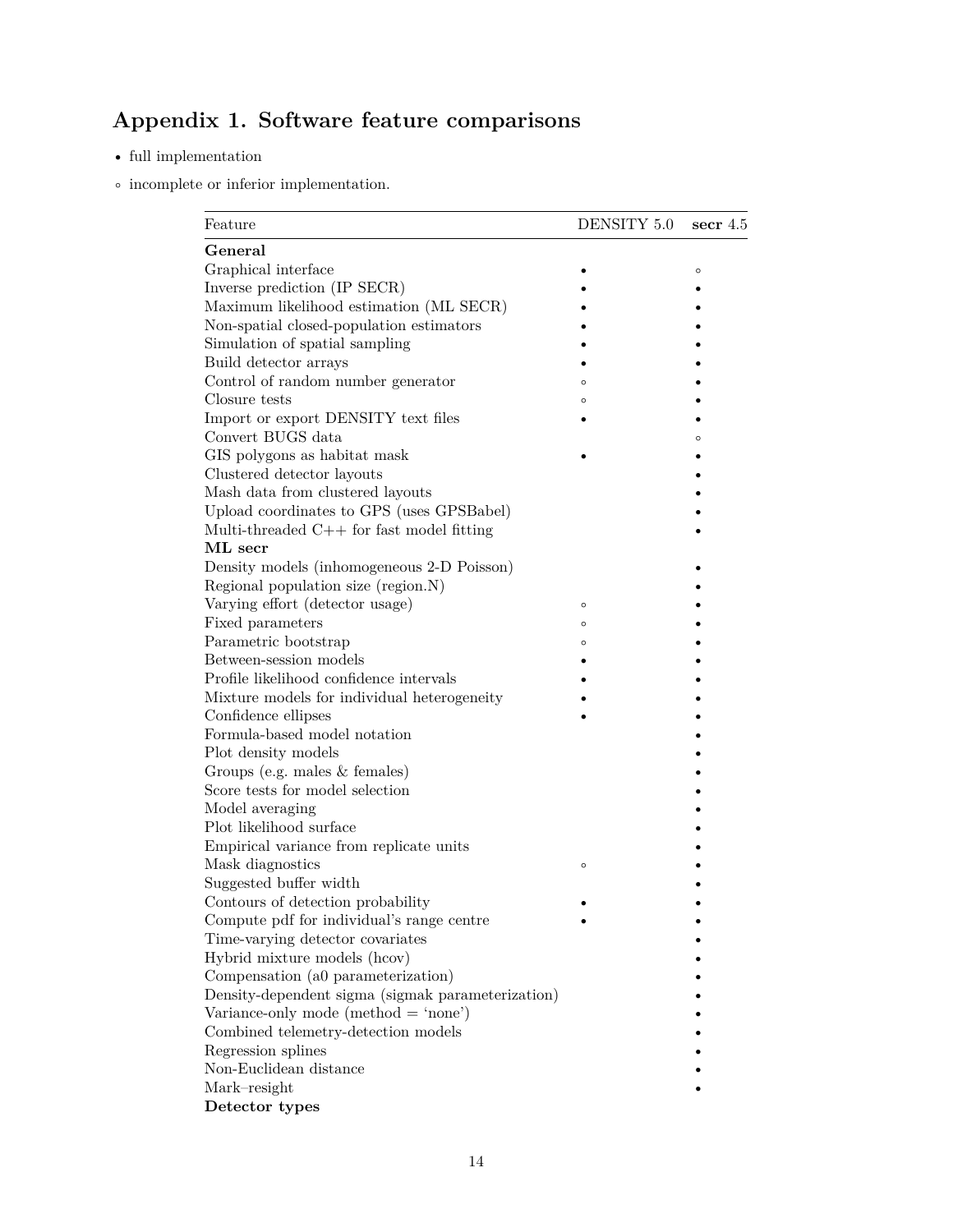# <span id="page-13-1"></span><span id="page-13-0"></span>**Appendix 1. Software feature comparisons**

- $\bullet\,$  full implementation
- $\circ\,$  incomplete or inferior implementation.

| General<br>Graphical interface<br>$\circ$<br>Inverse prediction (IP SECR)<br>Maximum likelihood estimation (ML SECR)<br>Non-spatial closed-population estimators<br>Simulation of spatial sampling<br>Build detector arrays<br>Control of random number generator<br>$\circ$<br>Closure tests<br>$\circ$<br>Import or export DENSITY text files<br>Convert BUGS data<br>$\circ$<br>GIS polygons as habitat mask<br>Clustered detector layouts<br>Mash data from clustered layouts<br>Upload coordinates to GPS (uses GPSBabel)<br>Multi-threaded $C++$ for fast model fitting<br>ML secr<br>Density models (inhomogeneous 2-D Poisson)<br>Regional population size (region.N)<br>Varying effort (detector usage)<br>$\circ$<br>Fixed parameters<br>$\circ$<br>Parametric bootstrap<br>$\circ$<br>Between-session models<br>Profile likelihood confidence intervals<br>Mixture models for individual heterogeneity<br>Confidence ellipses<br>Formula-based model notation<br>Plot density models<br>Groups (e.g. males $&$ females)<br>Score tests for model selection<br>Model averaging<br>Plot likelihood surface |
|---------------------------------------------------------------------------------------------------------------------------------------------------------------------------------------------------------------------------------------------------------------------------------------------------------------------------------------------------------------------------------------------------------------------------------------------------------------------------------------------------------------------------------------------------------------------------------------------------------------------------------------------------------------------------------------------------------------------------------------------------------------------------------------------------------------------------------------------------------------------------------------------------------------------------------------------------------------------------------------------------------------------------------------------------------------------------------------------------------------------|
|                                                                                                                                                                                                                                                                                                                                                                                                                                                                                                                                                                                                                                                                                                                                                                                                                                                                                                                                                                                                                                                                                                                     |
|                                                                                                                                                                                                                                                                                                                                                                                                                                                                                                                                                                                                                                                                                                                                                                                                                                                                                                                                                                                                                                                                                                                     |
|                                                                                                                                                                                                                                                                                                                                                                                                                                                                                                                                                                                                                                                                                                                                                                                                                                                                                                                                                                                                                                                                                                                     |
|                                                                                                                                                                                                                                                                                                                                                                                                                                                                                                                                                                                                                                                                                                                                                                                                                                                                                                                                                                                                                                                                                                                     |
|                                                                                                                                                                                                                                                                                                                                                                                                                                                                                                                                                                                                                                                                                                                                                                                                                                                                                                                                                                                                                                                                                                                     |
|                                                                                                                                                                                                                                                                                                                                                                                                                                                                                                                                                                                                                                                                                                                                                                                                                                                                                                                                                                                                                                                                                                                     |
|                                                                                                                                                                                                                                                                                                                                                                                                                                                                                                                                                                                                                                                                                                                                                                                                                                                                                                                                                                                                                                                                                                                     |
|                                                                                                                                                                                                                                                                                                                                                                                                                                                                                                                                                                                                                                                                                                                                                                                                                                                                                                                                                                                                                                                                                                                     |
|                                                                                                                                                                                                                                                                                                                                                                                                                                                                                                                                                                                                                                                                                                                                                                                                                                                                                                                                                                                                                                                                                                                     |
|                                                                                                                                                                                                                                                                                                                                                                                                                                                                                                                                                                                                                                                                                                                                                                                                                                                                                                                                                                                                                                                                                                                     |
|                                                                                                                                                                                                                                                                                                                                                                                                                                                                                                                                                                                                                                                                                                                                                                                                                                                                                                                                                                                                                                                                                                                     |
|                                                                                                                                                                                                                                                                                                                                                                                                                                                                                                                                                                                                                                                                                                                                                                                                                                                                                                                                                                                                                                                                                                                     |
|                                                                                                                                                                                                                                                                                                                                                                                                                                                                                                                                                                                                                                                                                                                                                                                                                                                                                                                                                                                                                                                                                                                     |
|                                                                                                                                                                                                                                                                                                                                                                                                                                                                                                                                                                                                                                                                                                                                                                                                                                                                                                                                                                                                                                                                                                                     |
|                                                                                                                                                                                                                                                                                                                                                                                                                                                                                                                                                                                                                                                                                                                                                                                                                                                                                                                                                                                                                                                                                                                     |
|                                                                                                                                                                                                                                                                                                                                                                                                                                                                                                                                                                                                                                                                                                                                                                                                                                                                                                                                                                                                                                                                                                                     |
|                                                                                                                                                                                                                                                                                                                                                                                                                                                                                                                                                                                                                                                                                                                                                                                                                                                                                                                                                                                                                                                                                                                     |
|                                                                                                                                                                                                                                                                                                                                                                                                                                                                                                                                                                                                                                                                                                                                                                                                                                                                                                                                                                                                                                                                                                                     |
|                                                                                                                                                                                                                                                                                                                                                                                                                                                                                                                                                                                                                                                                                                                                                                                                                                                                                                                                                                                                                                                                                                                     |
|                                                                                                                                                                                                                                                                                                                                                                                                                                                                                                                                                                                                                                                                                                                                                                                                                                                                                                                                                                                                                                                                                                                     |
|                                                                                                                                                                                                                                                                                                                                                                                                                                                                                                                                                                                                                                                                                                                                                                                                                                                                                                                                                                                                                                                                                                                     |
|                                                                                                                                                                                                                                                                                                                                                                                                                                                                                                                                                                                                                                                                                                                                                                                                                                                                                                                                                                                                                                                                                                                     |
|                                                                                                                                                                                                                                                                                                                                                                                                                                                                                                                                                                                                                                                                                                                                                                                                                                                                                                                                                                                                                                                                                                                     |
|                                                                                                                                                                                                                                                                                                                                                                                                                                                                                                                                                                                                                                                                                                                                                                                                                                                                                                                                                                                                                                                                                                                     |
|                                                                                                                                                                                                                                                                                                                                                                                                                                                                                                                                                                                                                                                                                                                                                                                                                                                                                                                                                                                                                                                                                                                     |
|                                                                                                                                                                                                                                                                                                                                                                                                                                                                                                                                                                                                                                                                                                                                                                                                                                                                                                                                                                                                                                                                                                                     |
|                                                                                                                                                                                                                                                                                                                                                                                                                                                                                                                                                                                                                                                                                                                                                                                                                                                                                                                                                                                                                                                                                                                     |
|                                                                                                                                                                                                                                                                                                                                                                                                                                                                                                                                                                                                                                                                                                                                                                                                                                                                                                                                                                                                                                                                                                                     |
|                                                                                                                                                                                                                                                                                                                                                                                                                                                                                                                                                                                                                                                                                                                                                                                                                                                                                                                                                                                                                                                                                                                     |
|                                                                                                                                                                                                                                                                                                                                                                                                                                                                                                                                                                                                                                                                                                                                                                                                                                                                                                                                                                                                                                                                                                                     |
|                                                                                                                                                                                                                                                                                                                                                                                                                                                                                                                                                                                                                                                                                                                                                                                                                                                                                                                                                                                                                                                                                                                     |
|                                                                                                                                                                                                                                                                                                                                                                                                                                                                                                                                                                                                                                                                                                                                                                                                                                                                                                                                                                                                                                                                                                                     |
| Empirical variance from replicate units                                                                                                                                                                                                                                                                                                                                                                                                                                                                                                                                                                                                                                                                                                                                                                                                                                                                                                                                                                                                                                                                             |
| Mask diagnostics<br>$\circ$                                                                                                                                                                                                                                                                                                                                                                                                                                                                                                                                                                                                                                                                                                                                                                                                                                                                                                                                                                                                                                                                                         |
| Suggested buffer width                                                                                                                                                                                                                                                                                                                                                                                                                                                                                                                                                                                                                                                                                                                                                                                                                                                                                                                                                                                                                                                                                              |
| Contours of detection probability                                                                                                                                                                                                                                                                                                                                                                                                                                                                                                                                                                                                                                                                                                                                                                                                                                                                                                                                                                                                                                                                                   |
| Compute pdf for individual's range centre                                                                                                                                                                                                                                                                                                                                                                                                                                                                                                                                                                                                                                                                                                                                                                                                                                                                                                                                                                                                                                                                           |
| Time-varying detector covariates                                                                                                                                                                                                                                                                                                                                                                                                                                                                                                                                                                                                                                                                                                                                                                                                                                                                                                                                                                                                                                                                                    |
| Hybrid mixture models (hcov)                                                                                                                                                                                                                                                                                                                                                                                                                                                                                                                                                                                                                                                                                                                                                                                                                                                                                                                                                                                                                                                                                        |
| Compensation (a0 parameterization)                                                                                                                                                                                                                                                                                                                                                                                                                                                                                                                                                                                                                                                                                                                                                                                                                                                                                                                                                                                                                                                                                  |
| Density-dependent sigma (sigmak parameterization)                                                                                                                                                                                                                                                                                                                                                                                                                                                                                                                                                                                                                                                                                                                                                                                                                                                                                                                                                                                                                                                                   |
| Variance-only mode (method $=$ 'none')                                                                                                                                                                                                                                                                                                                                                                                                                                                                                                                                                                                                                                                                                                                                                                                                                                                                                                                                                                                                                                                                              |
| Combined telemetry-detection models                                                                                                                                                                                                                                                                                                                                                                                                                                                                                                                                                                                                                                                                                                                                                                                                                                                                                                                                                                                                                                                                                 |
| Regression splines                                                                                                                                                                                                                                                                                                                                                                                                                                                                                                                                                                                                                                                                                                                                                                                                                                                                                                                                                                                                                                                                                                  |
| Non-Euclidean distance                                                                                                                                                                                                                                                                                                                                                                                                                                                                                                                                                                                                                                                                                                                                                                                                                                                                                                                                                                                                                                                                                              |
| Mark-resight                                                                                                                                                                                                                                                                                                                                                                                                                                                                                                                                                                                                                                                                                                                                                                                                                                                                                                                                                                                                                                                                                                        |
| Detector types                                                                                                                                                                                                                                                                                                                                                                                                                                                                                                                                                                                                                                                                                                                                                                                                                                                                                                                                                                                                                                                                                                      |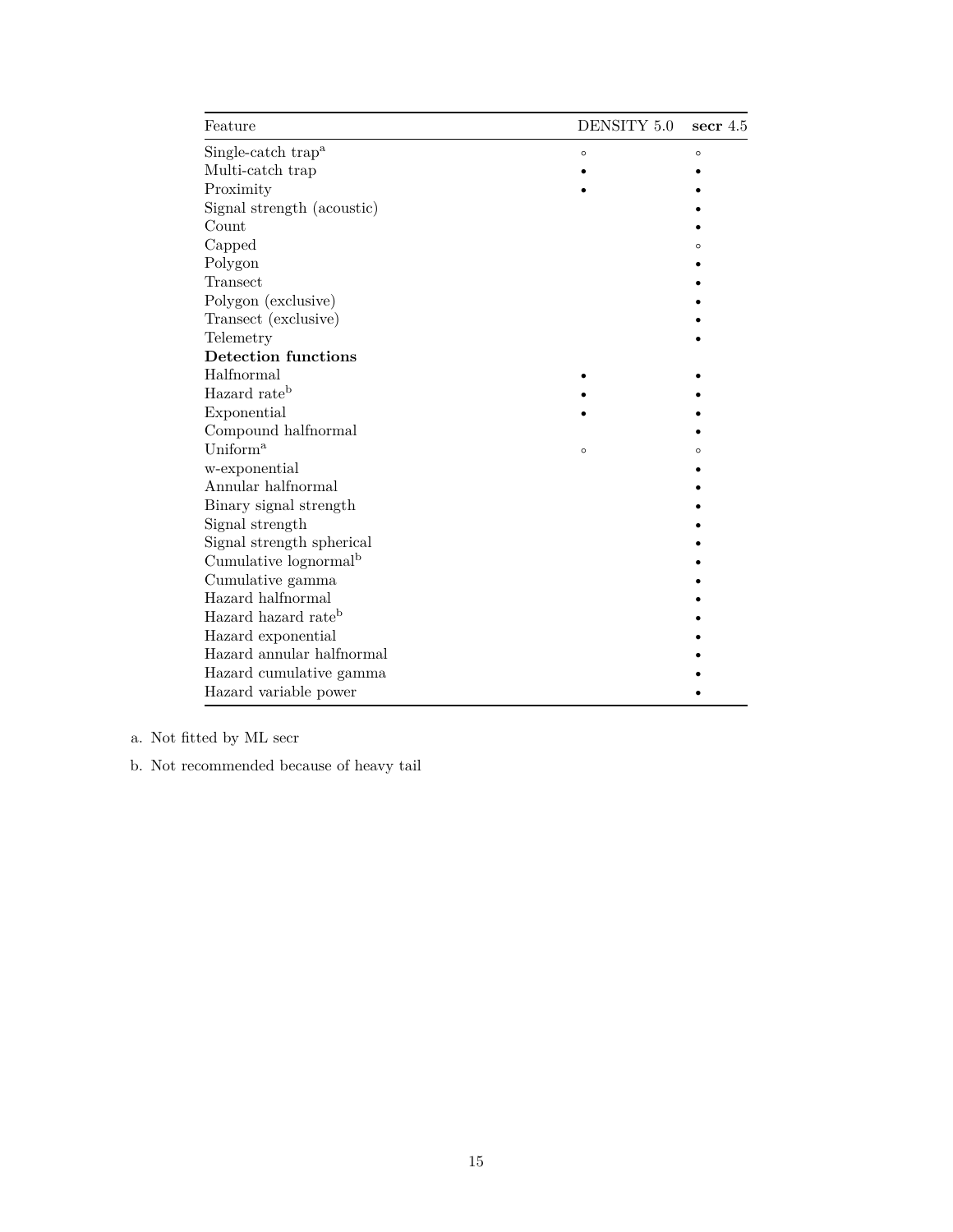| Feature                           | DENSITY 5.0 | secr $4.5$ |
|-----------------------------------|-------------|------------|
| Single-catch trap <sup>a</sup>    | $\circ$     | $\circ$    |
| Multi-catch trap                  |             |            |
| Proximity                         |             |            |
| Signal strength (acoustic)        |             |            |
| Count                             |             |            |
| Capped                            |             | $\circ$    |
| Polygon                           |             |            |
| Transect                          |             |            |
| Polygon (exclusive)               |             |            |
| Transect (exclusive)              |             |            |
| Telemetry                         |             |            |
| <b>Detection functions</b>        |             |            |
| Halfnormal                        |             |            |
| Hazard rate <sup>b</sup>          |             |            |
| Exponential                       |             |            |
| Compound halfnormal               |             |            |
| Uniform <sup>a</sup>              | $\circ$     | $\circ$    |
| w-exponential                     |             |            |
| Annular halfnormal                |             |            |
| Binary signal strength            |             |            |
| Signal strength                   |             |            |
| Signal strength spherical         |             |            |
| Cumulative lognormal <sup>b</sup> |             |            |
| Cumulative gamma                  |             |            |
| Hazard halfnormal                 |             |            |
| Hazard hazard rate <sup>b</sup>   |             |            |
| Hazard exponential                |             |            |
| Hazard annular halfnormal         |             |            |
| Hazard cumulative gamma           |             |            |
| Hazard variable power             |             |            |

a. Not fitted by ML secr

b. Not recommended because of heavy tail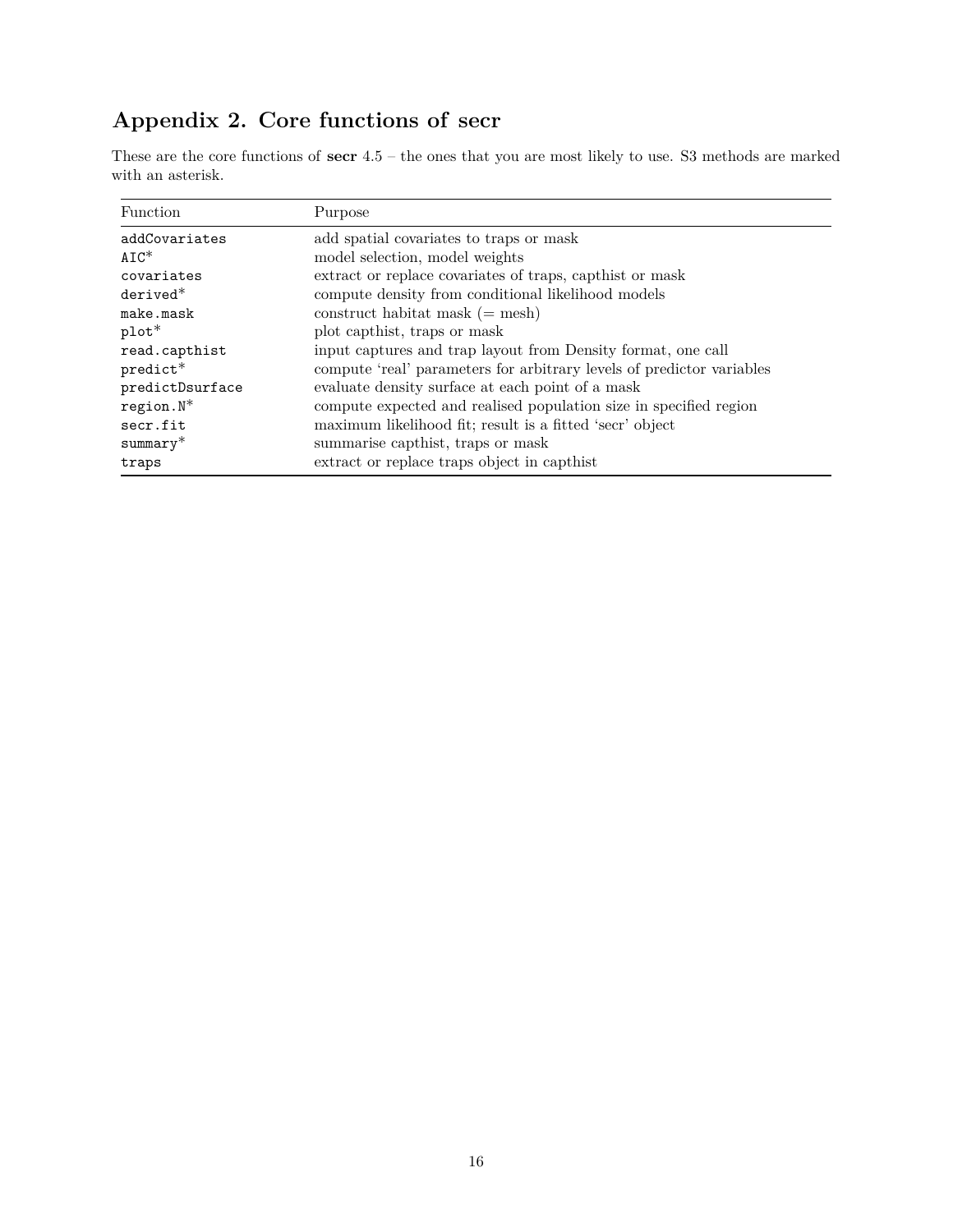# <span id="page-15-1"></span><span id="page-15-0"></span>**Appendix 2. Core functions of secr**

These are the core functions of **secr** 4.5 – the ones that you are most likely to use. S3 methods are marked with an asterisk.

| Function        | Purpose                                                               |
|-----------------|-----------------------------------------------------------------------|
| addCovariates   | add spatial covariates to traps or mask                               |
| $AIC^*$         | model selection, model weights                                        |
| covariates      | extract or replace covariates of traps, capthist or mask              |
| $derived*$      | compute density from conditional likelihood models                    |
| make.mask       | construct habitat mask $(=$ mesh)                                     |
| $plot*$         | plot capthist, traps or mask                                          |
| read.capthist   | input captures and trap layout from Density format, one call          |
| $predict*$      | compute 'real' parameters for arbitrary levels of predictor variables |
| predictDsurface | evaluate density surface at each point of a mask                      |
| $region.N*$     | compute expected and realised population size in specified region     |
| secr.fit        | maximum likelihood fit; result is a fitted 'secr' object              |
| $summary*$      | summarise capthist, traps or mask                                     |
| traps           | extract or replace traps object in capthist                           |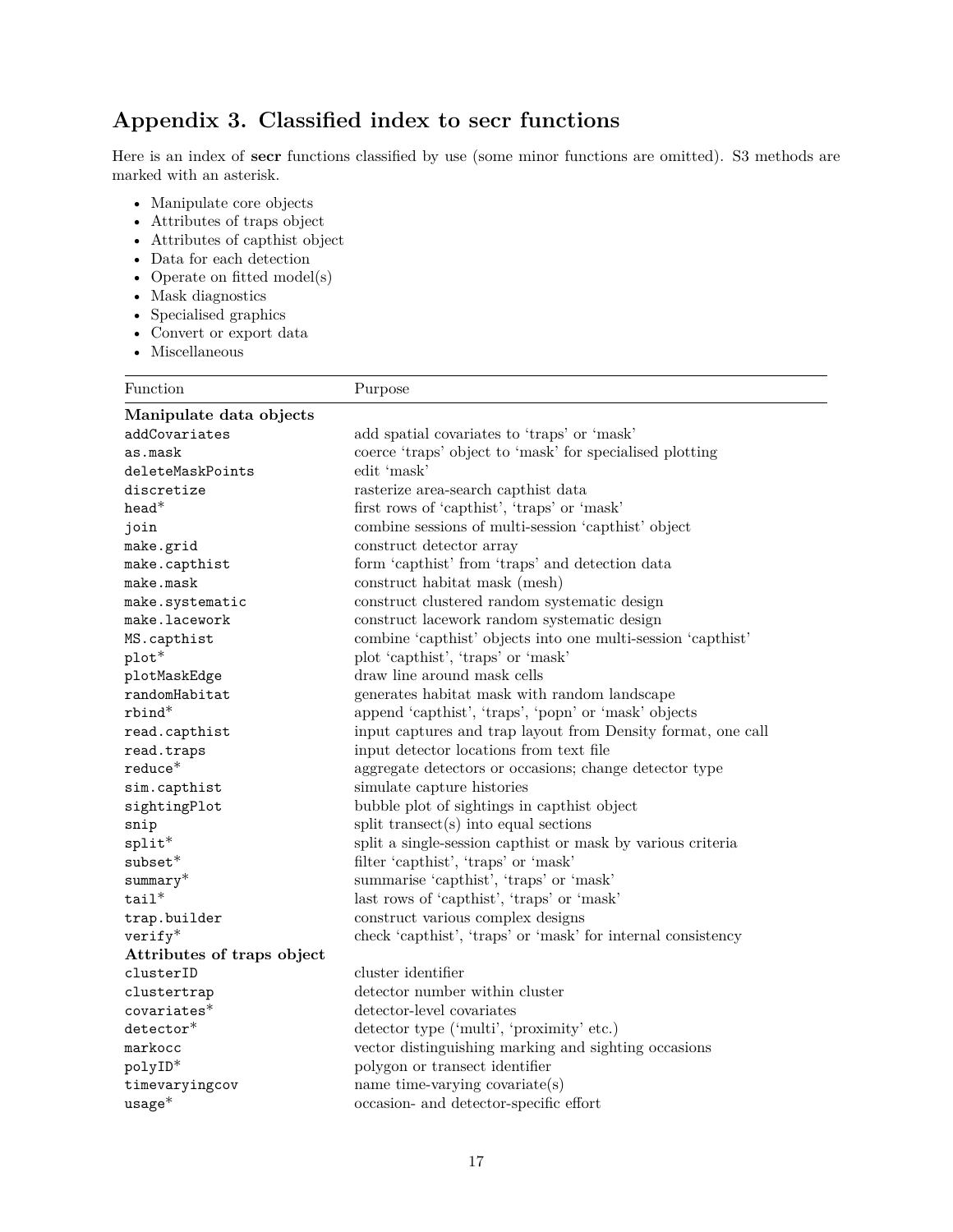# <span id="page-16-1"></span><span id="page-16-0"></span>**Appendix 3. Classified index to secr functions**

Here is an index of **secr** functions classified by use (some minor functions are omitted). S3 methods are marked with an asterisk.

- • [Manipulate core objects](#page-0-0)
- • [Attributes of traps object](#page-0-0)
- • [Attributes of capthist object](#page-0-0)
- • [Data for each detection](#page-0-0)
- • [Operate on fitted model\(s\)](#page-0-0)
- • [Mask diagnostics](#page-0-0)
- • [Specialised graphics](#page-0-0)
- • [Convert or export data](#page-0-0)
- Miscells

| Function                   | Purpose                                                      |
|----------------------------|--------------------------------------------------------------|
| Manipulate data objects    |                                                              |
| addCovariates              | add spatial covariates to 'traps' or 'mask'                  |
| as.mask                    | coerce 'traps' object to 'mask' for specialised plotting     |
| deleteMaskPoints           | edit 'mask'                                                  |
| discretize                 | rasterize area-search capthist data                          |
| $head*$                    | first rows of 'capthist', 'traps' or 'mask'                  |
| join                       | combine sessions of multi-session 'capthist' object          |
| make.grid                  | construct detector array                                     |
| make.capthist              | form 'capthist' from 'traps' and detection data              |
| make.mask                  | construct habitat mask (mesh)                                |
| make.systematic            | construct clustered random systematic design                 |
| make.lacework              | construct lacework random systematic design                  |
| MS.capthist                | combine 'capthist' objects into one multi-session 'capthist' |
| plot*                      | plot 'capthist', 'traps' or 'mask'                           |
| plotMaskEdge               | draw line around mask cells                                  |
| randomHabitat              | generates habitat mask with random landscape                 |
| rbind*                     | append 'capthist', 'traps', 'popn' or 'mask' objects         |
| read.capthist              | input captures and trap layout from Density format, one call |
| read.traps                 | input detector locations from text file                      |
| $reduce*$                  | aggregate detectors or occasions; change detector type       |
| sim.capthist               | simulate capture histories                                   |
| sightingPlot               | bubble plot of sightings in capthist object                  |
| snip                       | split transect(s) into equal sections                        |
| $split*$                   | split a single-session capthist or mask by various criteria  |
| $subset*$                  | filter 'capthist', 'traps' or 'mask'                         |
| $summary^*$                | summarise 'capthist', 'traps' or 'mask'                      |
| $tail^*$                   | last rows of 'capthist', 'traps' or 'mask'                   |
| trap.builder               | construct various complex designs                            |
| $verify*$                  | check 'capthist', 'traps' or 'mask' for internal consistency |
| Attributes of traps object |                                                              |
| clusterID                  | cluster identifier                                           |
| clustertrap                | detector number within cluster                               |
| $covariates*$              | detector-level covariates                                    |
| $\texttt{detector*}$       | detector type ('multi', 'proximity' etc.)                    |
| markocc                    | vector distinguishing marking and sighting occasions         |
| polyID*                    | polygon or transect identifier                               |
| timevaryingcov             | name time-varying covariate $(s)$                            |
| $usage*$                   | occasion- and detector-specific effort                       |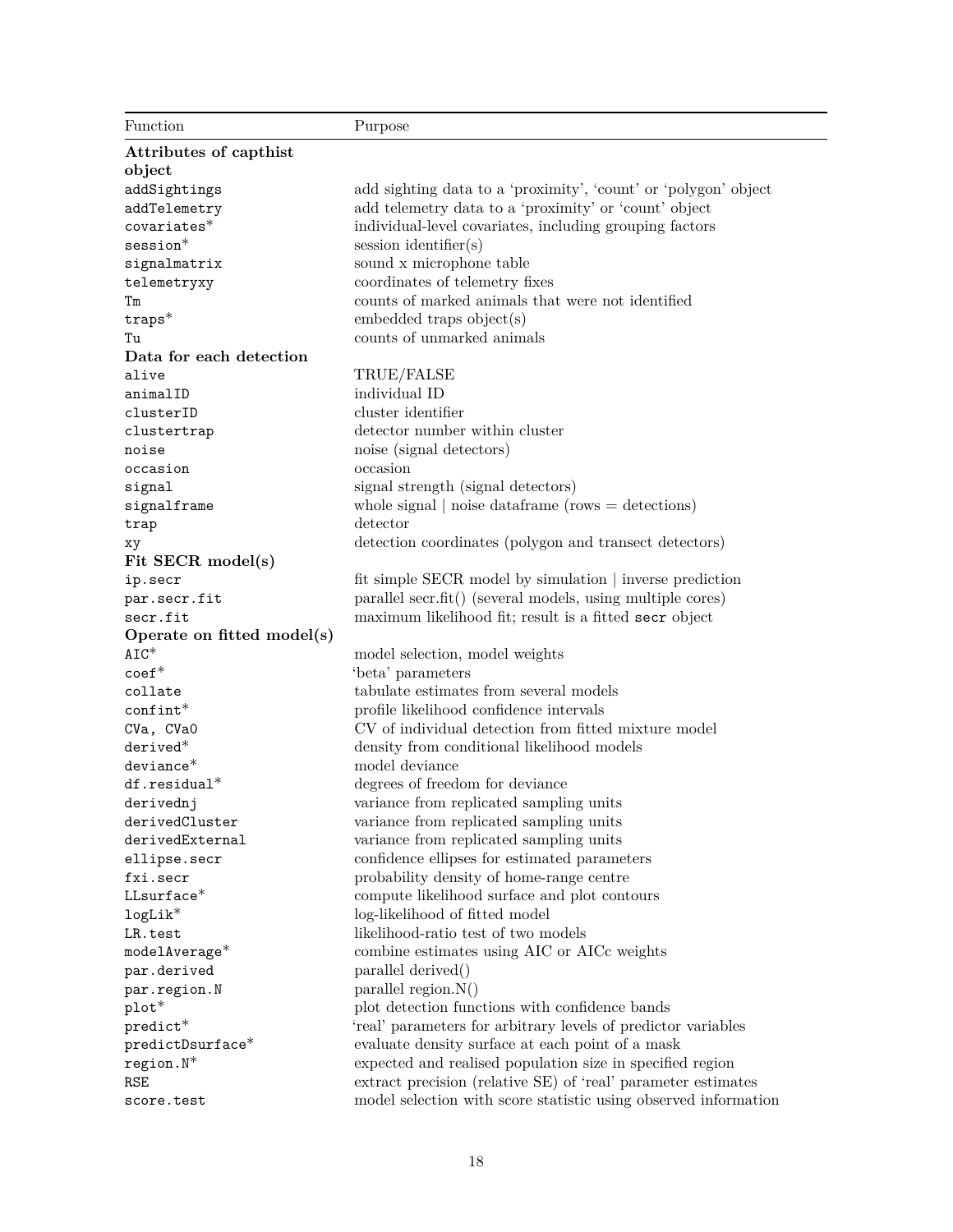| Function                   | Purpose                                                         |
|----------------------------|-----------------------------------------------------------------|
| Attributes of capthist     |                                                                 |
| object                     |                                                                 |
| addSightings               | add sighting data to a 'proximity', 'count' or 'polygon' object |
| addTelemetry               | add telemetry data to a 'proximity' or 'count' object           |
| $covariates*$              | individual-level covariates, including grouping factors         |
| $s$ ession $*$             | $s$ ession identifier $(s)$                                     |
| signalmatrix               | sound x microphone table                                        |
| telemetryxy                | coordinates of telemetry fixes                                  |
| Тm                         | counts of marked animals that were not identified               |
| $traps*$                   | embedded traps object(s)                                        |
| Tu                         | counts of unmarked animals                                      |
| Data for each detection    |                                                                 |
| alive                      | TRUE/FALSE                                                      |
| animalID                   | individual ID                                                   |
| clusterID                  | cluster identifier                                              |
| clustertrap                | detector number within cluster                                  |
| noise                      | noise (signal detectors)                                        |
| occasion                   | occasion                                                        |
| signal                     | signal strength (signal detectors)                              |
| signalframe                | whole signal $ $ noise data frame (rows $=$ detections)         |
| trap                       | detector                                                        |
| хy                         | detection coordinates (polygon and transect detectors)          |
| Fit SECR model(s)          |                                                                 |
| ip.secr                    | fit simple SECR model by simulation   inverse prediction        |
| par.secr.fit               | parallel secr.fit() (several models, using multiple cores)      |
| secr.fit                   | maximum likelihood fit; result is a fitted secr object          |
| Operate on fitted model(s) |                                                                 |
| $AIC^*$                    | model selection, model weights                                  |
| $\text{coeff}^*$           | 'beta' parameters                                               |
| collate                    | tabulate estimates from several models                          |
| $\text{confint}^*$         | profile likelihood confidence intervals                         |
| CVa, CVaO                  | CV of individual detection from fitted mixture model            |
| $derived*$                 | density from conditional likelihood models                      |
| $deviance*$                | model deviance                                                  |
| $df. residual*$            | degrees of freedom for deviance                                 |
| derivednj                  | variance from replicated sampling units                         |
| derivedCluster             | variance from replicated sampling units                         |
| derivedExternal            | variance from replicated sampling units                         |
| ellipse.secr               | confidence ellipses for estimated parameters                    |
| fxi.secr                   | probability density of home-range centre                        |
| $LL surface*$              | compute likelihood surface and plot contours                    |
| $\mathtt{logLik}^*$        | log-likelihood of fitted model                                  |
| LR.test                    | likelihood-ratio test of two models                             |
| $\texttt{modelAverage*}$   | combine estimates using AIC or AICc weights                     |
| par.derived                | parallel derived()                                              |
| par.region.N               | parallel region. $N()$                                          |
| $plot*$                    | plot detection functions with confidence bands                  |
| $predict*$                 | 'real' parameters for arbitrary levels of predictor variables   |
| predictDsurface*           | evaluate density surface at each point of a mask                |
| $region.N^*$               | expected and realised population size in specified region       |
| <b>RSE</b>                 | extract precision (relative SE) of 'real' parameter estimates   |
| score.test                 | model selection with score statistic using observed information |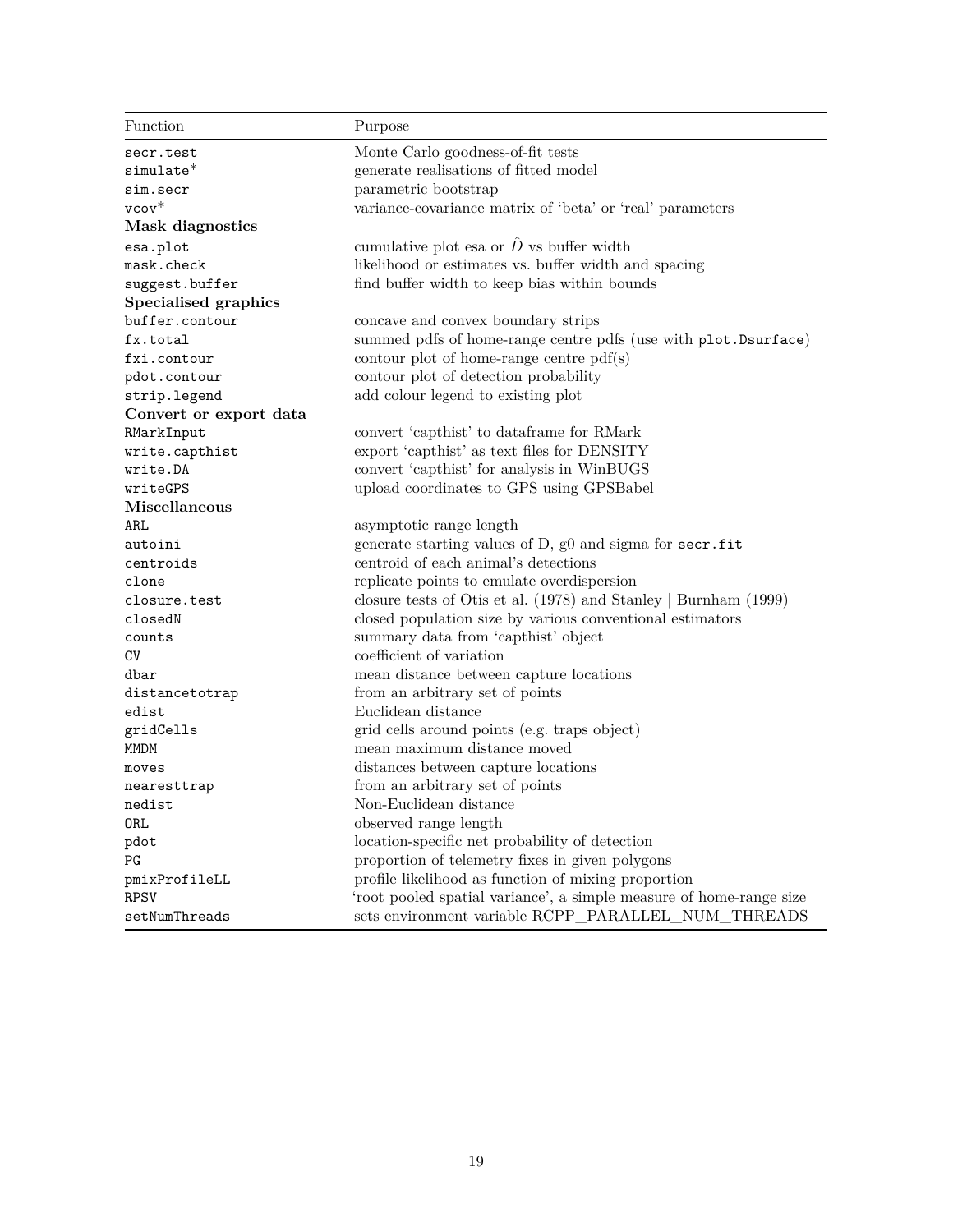| Function               | Purpose                                                              |
|------------------------|----------------------------------------------------------------------|
| secr.test              | Monte Carlo goodness-of-fit tests                                    |
| $simulate*$            | generate realisations of fitted model                                |
| sim.secr               | parametric bootstrap                                                 |
| $vcov^*$               | variance-covariance matrix of 'beta' or 'real' parameters            |
| Mask diagnostics       |                                                                      |
| esa.plot               | cumulative plot esa or $\hat{D}$ vs buffer width                     |
| mask.check             | likelihood or estimates vs. buffer width and spacing                 |
| suggest.buffer         | find buffer width to keep bias within bounds                         |
| Specialised graphics   |                                                                      |
| buffer.contour         | concave and convex boundary strips                                   |
| fx.total               | summed pdfs of home-range centre pdfs (use with plot. Dsurface)      |
| fxi.contour            | contour plot of home-range centre $pdf(s)$                           |
| pdot.contour           | contour plot of detection probability                                |
| strip.legend           | add colour legend to existing plot                                   |
| Convert or export data |                                                                      |
| RMarkInput             | convert 'capthist' to dataframe for RMark                            |
| write.capthist         | export 'capthist' as text files for DENSITY                          |
| write.DA               | convert 'capthist' for analysis in WinBUGS                           |
| writeGPS               | upload coordinates to GPS using GPSBabel                             |
| <b>Miscellaneous</b>   |                                                                      |
| ARL                    | asymptotic range length                                              |
| autoini                | generate starting values of D, g0 and sigma for secr.fit             |
| centroids              | centroid of each animal's detections                                 |
| clone                  | replicate points to emulate overdispersion                           |
| closure.test           | closure tests of Otis et al. $(1978)$ and Stanley   Burnham $(1999)$ |
| closedN                | closed population size by various conventional estimators            |
| counts                 | summary data from 'capthist' object                                  |
| CV                     | coefficient of variation                                             |
| dbar                   | mean distance between capture locations                              |
| distancetotrap         | from an arbitrary set of points                                      |
| edist                  | Euclidean distance                                                   |
| gridCells              | grid cells around points (e.g. traps object)                         |
| MMDM                   | mean maximum distance moved                                          |
| moves                  | distances between capture locations                                  |
| nearesttrap            | from an arbitrary set of points                                      |
| nedist                 | Non-Euclidean distance                                               |
| ORL                    | observed range length                                                |
| pdot                   | location-specific net probability of detection                       |
| PG                     | proportion of telemetry fixes in given polygons                      |
| pmixProfileLL          | profile likelihood as function of mixing proportion                  |
| <b>RPSV</b>            | 'root pooled spatial variance', a simple measure of home-range size  |
| setNumThreads          | sets environment variable RCPP_PARALLEL_NUM_THREADS                  |